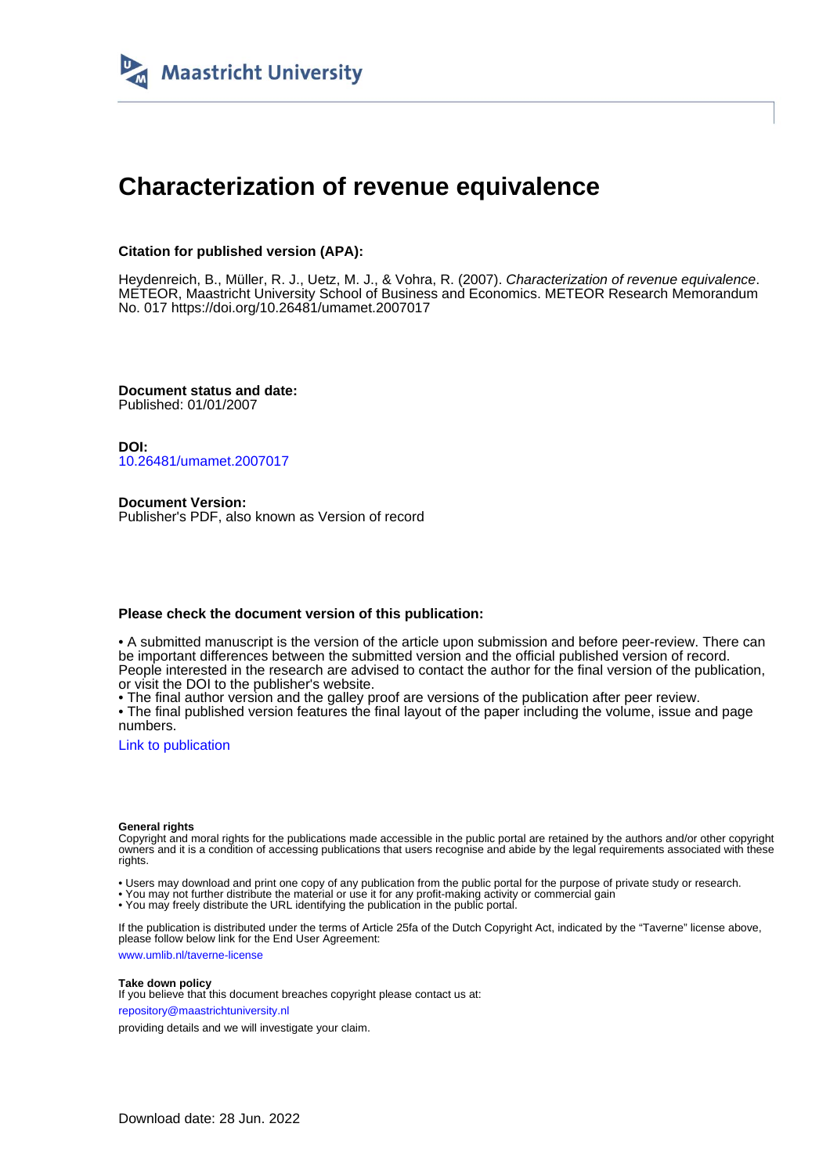

# **Characterization of revenue equivalence**

### **Citation for published version (APA):**

Heydenreich, B., Müller, R. J., Uetz, M. J., & Vohra, R. (2007). Characterization of revenue equivalence. METEOR, Maastricht University School of Business and Economics. METEOR Research Memorandum No. 017 <https://doi.org/10.26481/umamet.2007017>

**Document status and date:** Published: 01/01/2007

**DOI:** [10.26481/umamet.2007017](https://doi.org/10.26481/umamet.2007017)

**Document Version:** Publisher's PDF, also known as Version of record

### **Please check the document version of this publication:**

• A submitted manuscript is the version of the article upon submission and before peer-review. There can be important differences between the submitted version and the official published version of record. People interested in the research are advised to contact the author for the final version of the publication, or visit the DOI to the publisher's website.

• The final author version and the galley proof are versions of the publication after peer review.

• The final published version features the final layout of the paper including the volume, issue and page numbers.

[Link to publication](https://cris.maastrichtuniversity.nl/en/publications/c6a75960-a0e4-45b5-8076-536b033f3fe4)

#### **General rights**

Copyright and moral rights for the publications made accessible in the public portal are retained by the authors and/or other copyright owners and it is a condition of accessing publications that users recognise and abide by the legal requirements associated with these rights.

• Users may download and print one copy of any publication from the public portal for the purpose of private study or research.

• You may not further distribute the material or use it for any profit-making activity or commercial gain

• You may freely distribute the URL identifying the publication in the public portal.

If the publication is distributed under the terms of Article 25fa of the Dutch Copyright Act, indicated by the "Taverne" license above, please follow below link for the End User Agreement:

www.umlib.nl/taverne-license

#### **Take down policy**

If you believe that this document breaches copyright please contact us at: repository@maastrichtuniversity.nl

providing details and we will investigate your claim.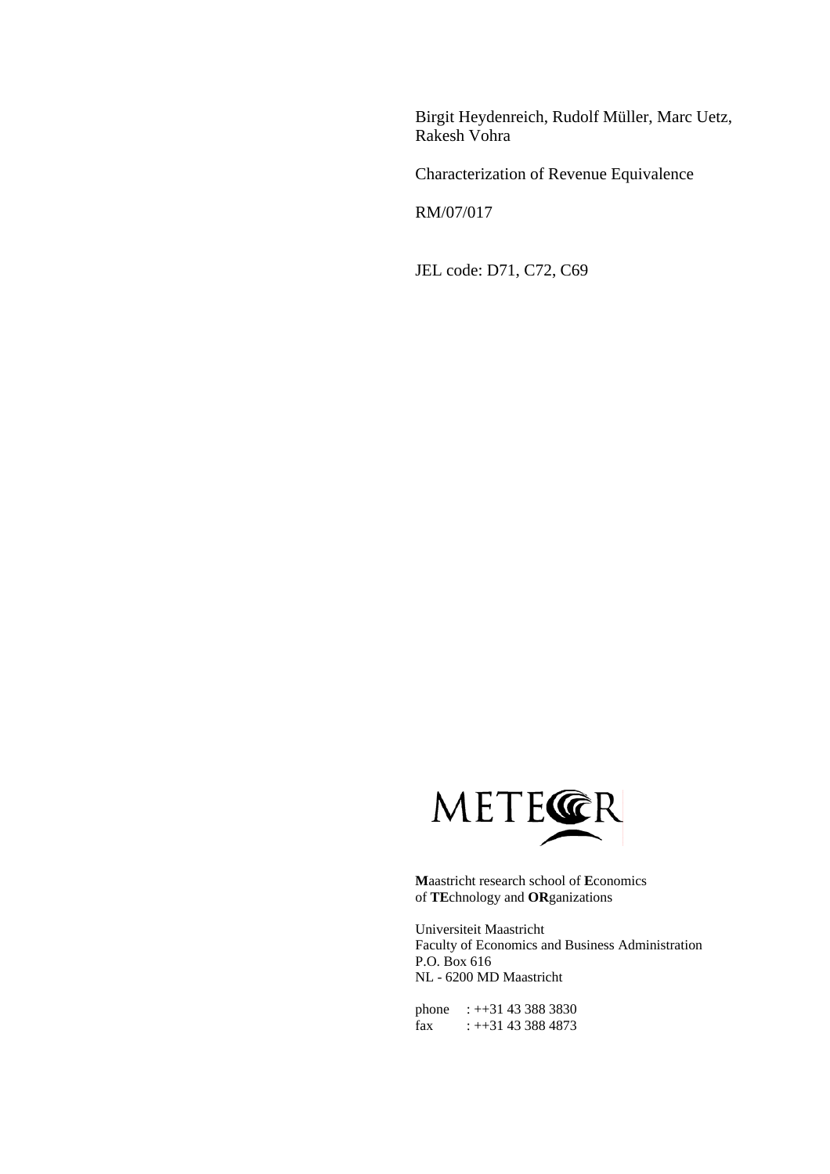Birgit Heydenreich, Rudolf Müller, Marc Uetz, Rakesh Vohra

Characterization of Revenue Equivalence

RM/07/017

JEL code: D71, C72, C69



**M**aastricht research school of **E**conomics of **TE**chnology and **OR**ganizations

Universiteit Maastricht Faculty of Economics and Business Administration P.O. Box 616 NL - 6200 MD Maastricht

phone : ++31 43 388 3830 fax :  $+31$  43 388 4873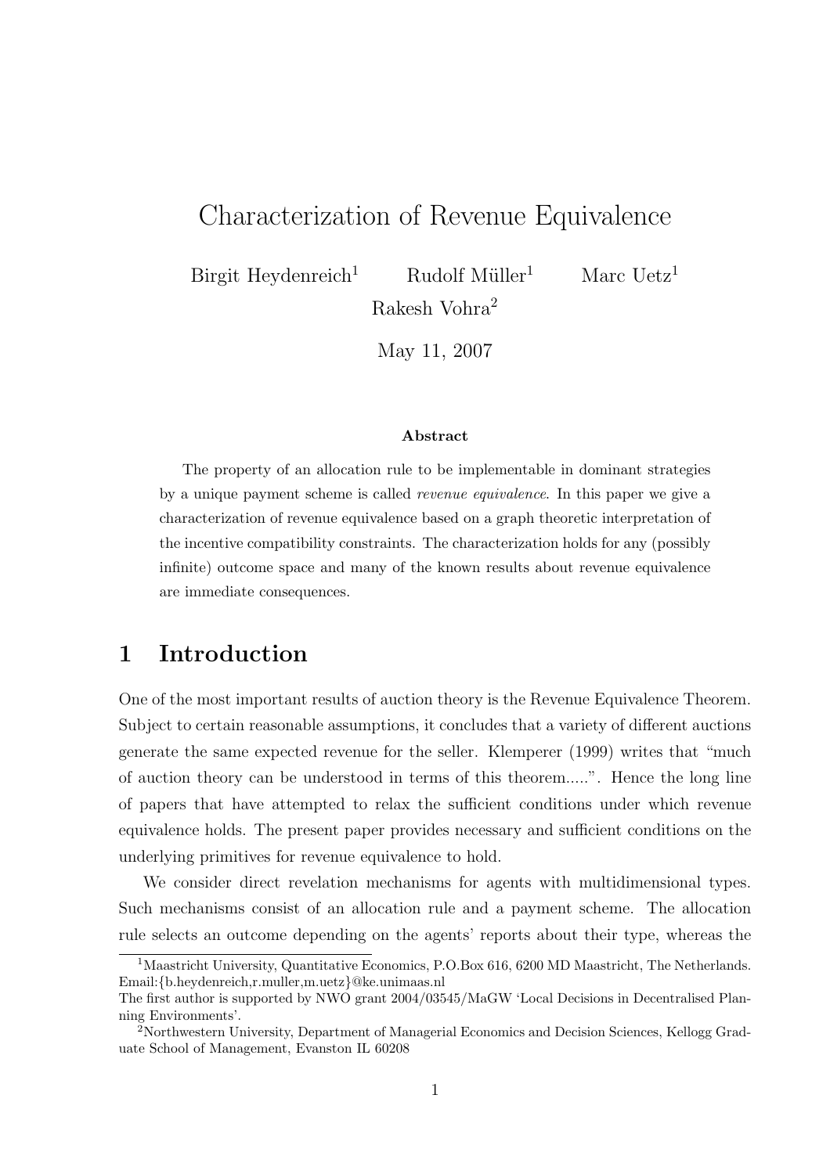# Characterization of Revenue Equivalence

Birgit Heydenreich<sup>1</sup> Rudolf Müller<sup>1</sup> Marc Uetz<sup>1</sup> Rakesh Vohra<sup>2</sup>

May 11, 2007

### Abstract

The property of an allocation rule to be implementable in dominant strategies by a unique payment scheme is called revenue equivalence. In this paper we give a characterization of revenue equivalence based on a graph theoretic interpretation of the incentive compatibility constraints. The characterization holds for any (possibly infinite) outcome space and many of the known results about revenue equivalence are immediate consequences.

# 1 Introduction

One of the most important results of auction theory is the Revenue Equivalence Theorem. Subject to certain reasonable assumptions, it concludes that a variety of different auctions generate the same expected revenue for the seller. Klemperer (1999) writes that "much of auction theory can be understood in terms of this theorem.....". Hence the long line of papers that have attempted to relax the sufficient conditions under which revenue equivalence holds. The present paper provides necessary and sufficient conditions on the underlying primitives for revenue equivalence to hold.

We consider direct revelation mechanisms for agents with multidimensional types. Such mechanisms consist of an allocation rule and a payment scheme. The allocation rule selects an outcome depending on the agents' reports about their type, whereas the

<sup>&</sup>lt;sup>1</sup>Maastricht University, Quantitative Economics, P.O.Box 616, 6200 MD Maastricht, The Netherlands. Email:{b.heydenreich,r.muller,m.uetz}@ke.unimaas.nl

The first author is supported by NWO grant 2004/03545/MaGW 'Local Decisions in Decentralised Planning Environments'.

<sup>2</sup>Northwestern University, Department of Managerial Economics and Decision Sciences, Kellogg Graduate School of Management, Evanston IL 60208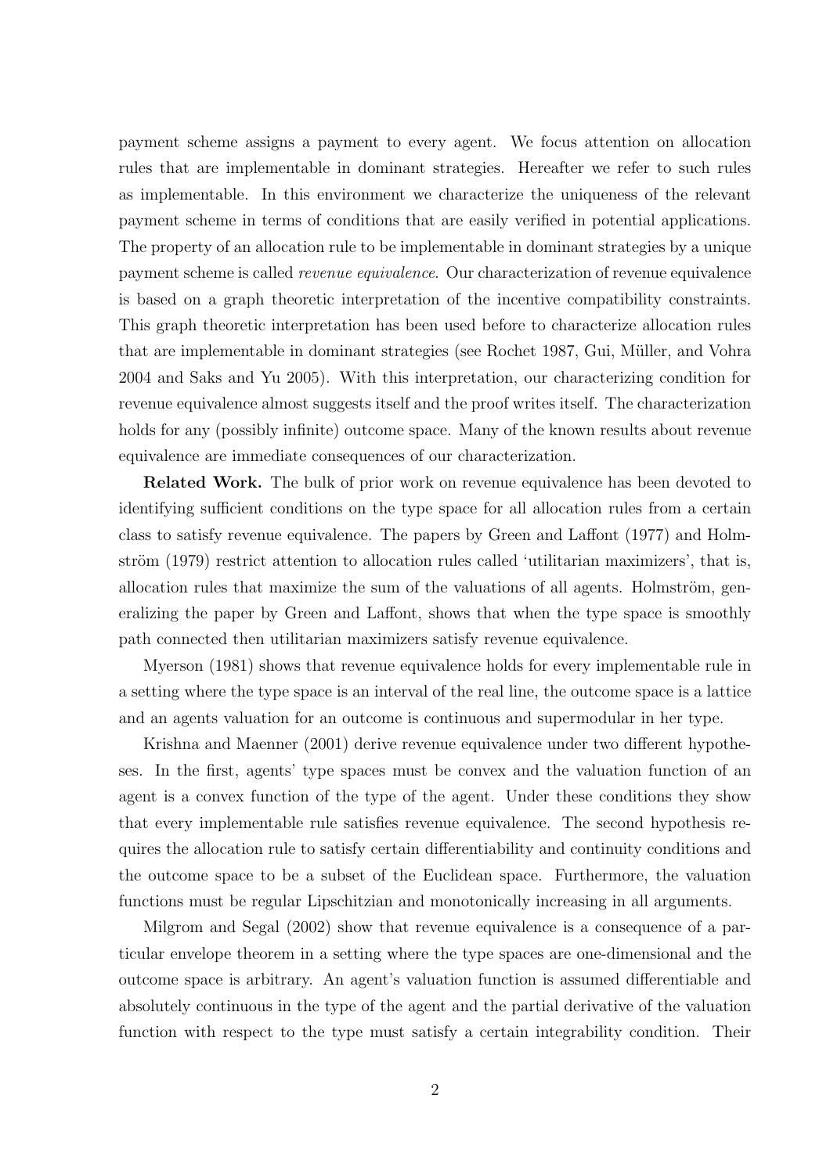payment scheme assigns a payment to every agent. We focus attention on allocation rules that are implementable in dominant strategies. Hereafter we refer to such rules as implementable. In this environment we characterize the uniqueness of the relevant payment scheme in terms of conditions that are easily verified in potential applications. The property of an allocation rule to be implementable in dominant strategies by a unique payment scheme is called revenue equivalence. Our characterization of revenue equivalence is based on a graph theoretic interpretation of the incentive compatibility constraints. This graph theoretic interpretation has been used before to characterize allocation rules that are implementable in dominant strategies (see Rochet 1987, Gui, Müller, and Vohra 2004 and Saks and Yu 2005). With this interpretation, our characterizing condition for revenue equivalence almost suggests itself and the proof writes itself. The characterization holds for any (possibly infinite) outcome space. Many of the known results about revenue equivalence are immediate consequences of our characterization.

Related Work. The bulk of prior work on revenue equivalence has been devoted to identifying sufficient conditions on the type space for all allocation rules from a certain class to satisfy revenue equivalence. The papers by Green and Laffont (1977) and Holmström (1979) restrict attention to allocation rules called 'utilitarian maximizers', that is, allocation rules that maximize the sum of the valuations of all agents. Holmström, generalizing the paper by Green and Laffont, shows that when the type space is smoothly path connected then utilitarian maximizers satisfy revenue equivalence.

Myerson (1981) shows that revenue equivalence holds for every implementable rule in a setting where the type space is an interval of the real line, the outcome space is a lattice and an agents valuation for an outcome is continuous and supermodular in her type.

Krishna and Maenner (2001) derive revenue equivalence under two different hypotheses. In the first, agents' type spaces must be convex and the valuation function of an agent is a convex function of the type of the agent. Under these conditions they show that every implementable rule satisfies revenue equivalence. The second hypothesis requires the allocation rule to satisfy certain differentiability and continuity conditions and the outcome space to be a subset of the Euclidean space. Furthermore, the valuation functions must be regular Lipschitzian and monotonically increasing in all arguments.

Milgrom and Segal (2002) show that revenue equivalence is a consequence of a particular envelope theorem in a setting where the type spaces are one-dimensional and the outcome space is arbitrary. An agent's valuation function is assumed differentiable and absolutely continuous in the type of the agent and the partial derivative of the valuation function with respect to the type must satisfy a certain integrability condition. Their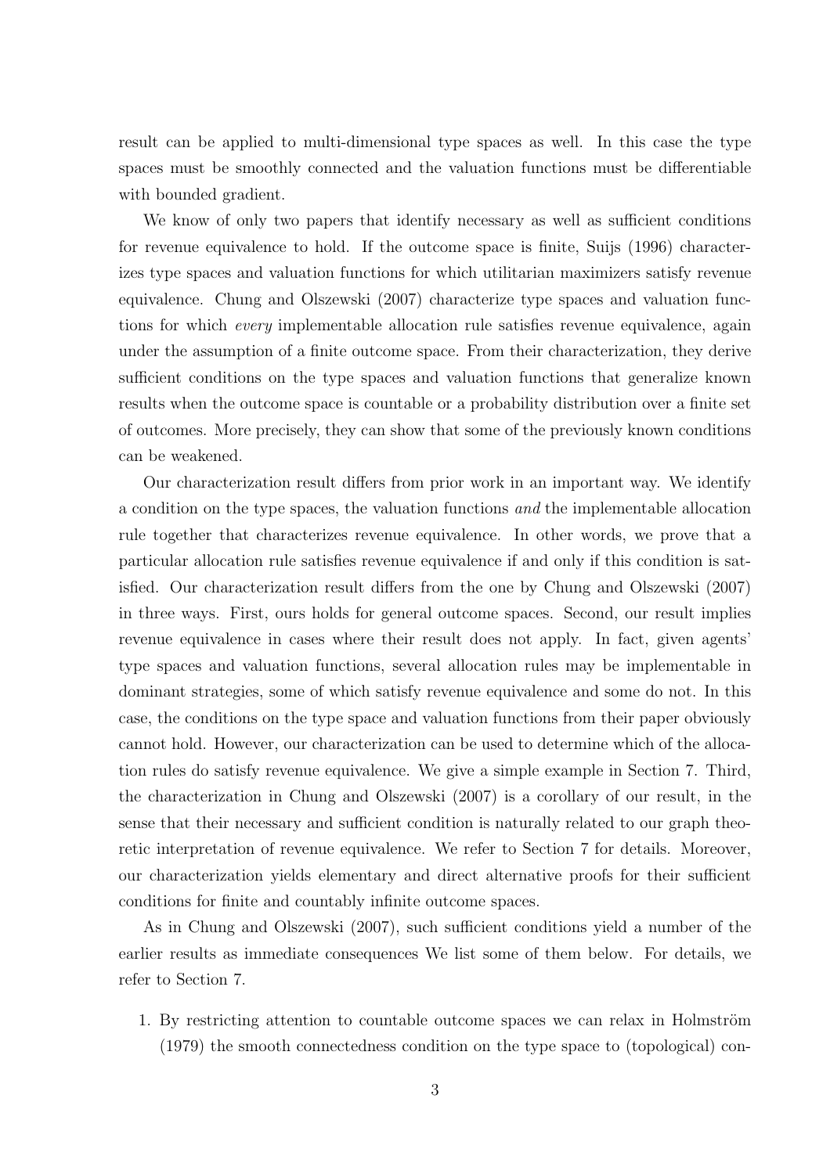result can be applied to multi-dimensional type spaces as well. In this case the type spaces must be smoothly connected and the valuation functions must be differentiable with bounded gradient.

We know of only two papers that identify necessary as well as sufficient conditions for revenue equivalence to hold. If the outcome space is finite, Suijs (1996) characterizes type spaces and valuation functions for which utilitarian maximizers satisfy revenue equivalence. Chung and Olszewski (2007) characterize type spaces and valuation functions for which every implementable allocation rule satisfies revenue equivalence, again under the assumption of a finite outcome space. From their characterization, they derive sufficient conditions on the type spaces and valuation functions that generalize known results when the outcome space is countable or a probability distribution over a finite set of outcomes. More precisely, they can show that some of the previously known conditions can be weakened.

Our characterization result differs from prior work in an important way. We identify a condition on the type spaces, the valuation functions and the implementable allocation rule together that characterizes revenue equivalence. In other words, we prove that a particular allocation rule satisfies revenue equivalence if and only if this condition is satisfied. Our characterization result differs from the one by Chung and Olszewski (2007) in three ways. First, ours holds for general outcome spaces. Second, our result implies revenue equivalence in cases where their result does not apply. In fact, given agents' type spaces and valuation functions, several allocation rules may be implementable in dominant strategies, some of which satisfy revenue equivalence and some do not. In this case, the conditions on the type space and valuation functions from their paper obviously cannot hold. However, our characterization can be used to determine which of the allocation rules do satisfy revenue equivalence. We give a simple example in Section 7. Third, the characterization in Chung and Olszewski (2007) is a corollary of our result, in the sense that their necessary and sufficient condition is naturally related to our graph theoretic interpretation of revenue equivalence. We refer to Section 7 for details. Moreover, our characterization yields elementary and direct alternative proofs for their sufficient conditions for finite and countably infinite outcome spaces.

As in Chung and Olszewski (2007), such sufficient conditions yield a number of the earlier results as immediate consequences We list some of them below. For details, we refer to Section 7.

1. By restricting attention to countable outcome spaces we can relax in Holmström (1979) the smooth connectedness condition on the type space to (topological) con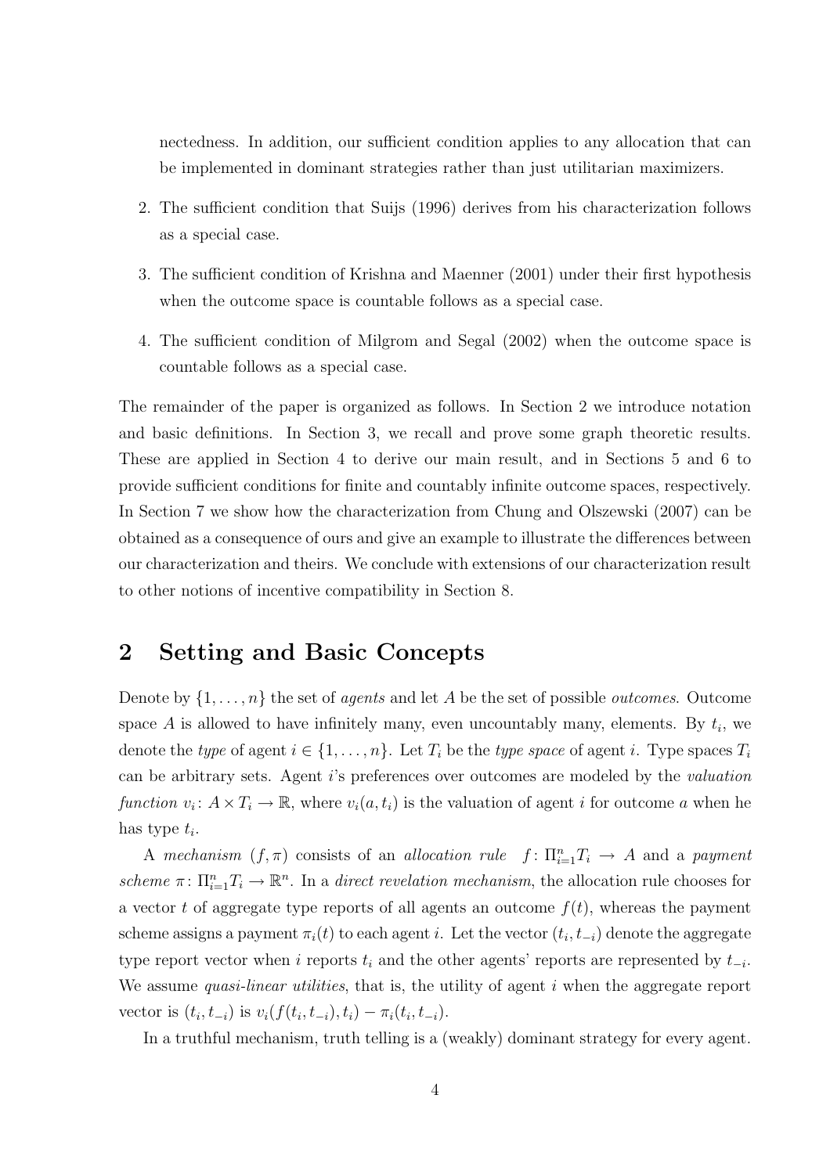nectedness. In addition, our sufficient condition applies to any allocation that can be implemented in dominant strategies rather than just utilitarian maximizers.

- 2. The sufficient condition that Suijs (1996) derives from his characterization follows as a special case.
- 3. The sufficient condition of Krishna and Maenner (2001) under their first hypothesis when the outcome space is countable follows as a special case.
- 4. The sufficient condition of Milgrom and Segal (2002) when the outcome space is countable follows as a special case.

The remainder of the paper is organized as follows. In Section 2 we introduce notation and basic definitions. In Section 3, we recall and prove some graph theoretic results. These are applied in Section 4 to derive our main result, and in Sections 5 and 6 to provide sufficient conditions for finite and countably infinite outcome spaces, respectively. In Section 7 we show how the characterization from Chung and Olszewski (2007) can be obtained as a consequence of ours and give an example to illustrate the differences between our characterization and theirs. We conclude with extensions of our characterization result to other notions of incentive compatibility in Section 8.

# 2 Setting and Basic Concepts

Denote by  $\{1, \ldots, n\}$  the set of *agents* and let A be the set of possible *outcomes*. Outcome space A is allowed to have infinitely many, even uncountably many, elements. By  $t_i$ , we denote the type of agent  $i \in \{1, \ldots, n\}$ . Let  $T_i$  be the type space of agent i. Type spaces  $T_i$ can be arbitrary sets. Agent i's preferences over outcomes are modeled by the valuation function  $v_i: A \times T_i \to \mathbb{R}$ , where  $v_i(a, t_i)$  is the valuation of agent i for outcome a when he has type  $t_i$ .

A mechanism  $(f, \pi)$  consists of an allocation rule  $f: \prod_{i=1}^{n} T_i \to A$  and a payment scheme  $\pi: \Pi_{i=1}^n T_i \to \mathbb{R}^n$ . In a direct revelation mechanism, the allocation rule chooses for a vector t of aggregate type reports of all agents an outcome  $f(t)$ , whereas the payment scheme assigns a payment  $\pi_i(t)$  to each agent i. Let the vector  $(t_i, t_{-i})$  denote the aggregate type report vector when i reports  $t_i$  and the other agents' reports are represented by  $t_{-i}$ . We assume *quasi-linear utilities*, that is, the utility of agent  $i$  when the aggregate report vector is  $(t_i, t_{-i})$  is  $v_i(f(t_i, t_{-i}), t_i) - \pi_i(t_i, t_{-i}).$ 

In a truthful mechanism, truth telling is a (weakly) dominant strategy for every agent.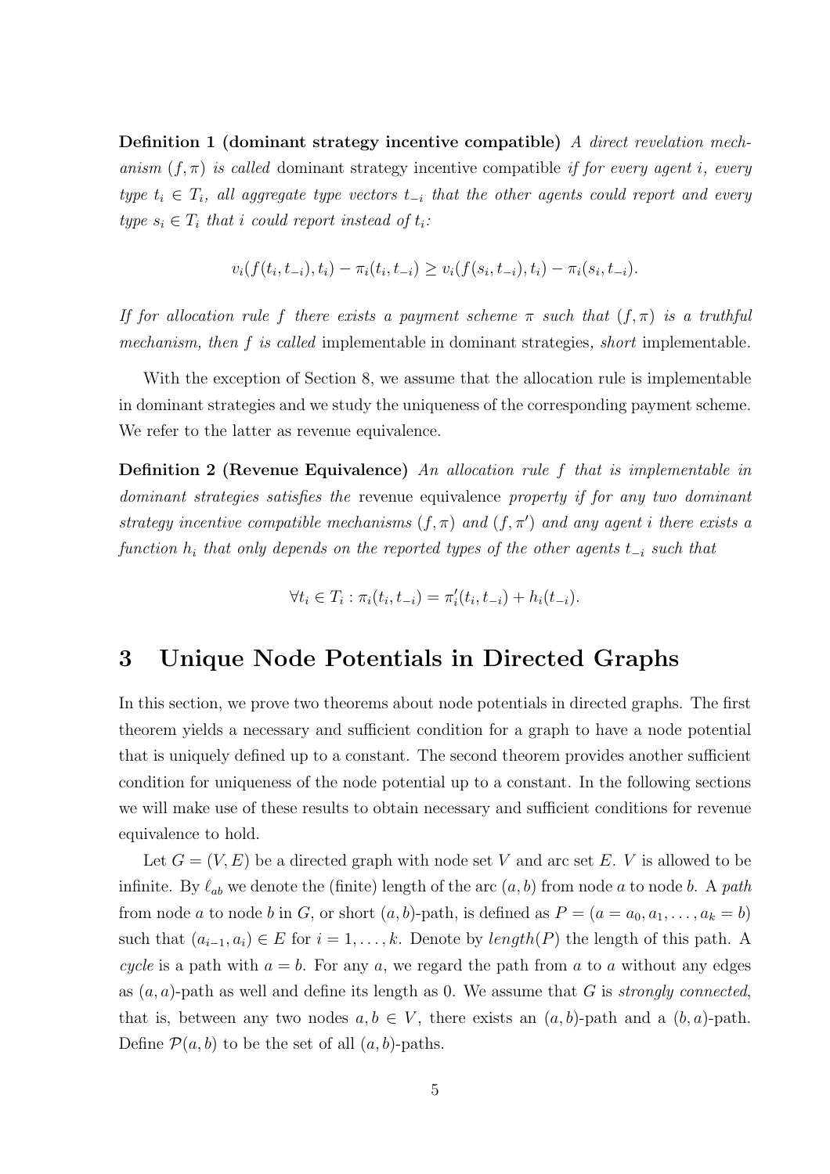Definition 1 (dominant strategy incentive compatible) A direct revelation mechanism  $(f, \pi)$  is called dominant strategy incentive compatible if for every agent i, every type  $t_i \in T_i$ , all aggregate type vectors  $t_{-i}$  that the other agents could report and every type  $s_i \in T_i$  that i could report instead of  $t_i$ :

$$
v_i(f(t_i,t_{-i}),t_i) - \pi_i(t_i,t_{-i}) \ge v_i(f(s_i,t_{-i}),t_i) - \pi_i(s_i,t_{-i}).
$$

If for allocation rule f there exists a payment scheme  $\pi$  such that  $(f, \pi)$  is a truthful mechanism, then f is called implementable in dominant strategies, short implementable.

With the exception of Section 8, we assume that the allocation rule is implementable in dominant strategies and we study the uniqueness of the corresponding payment scheme. We refer to the latter as revenue equivalence.

Definition 2 (Revenue Equivalence) An allocation rule f that is implementable in dominant strategies satisfies the revenue equivalence property if for any two dominant strategy incentive compatible mechanisms  $(f, \pi)$  and  $(f, \pi')$  and any agent i there exists a function  $h_i$  that only depends on the reported types of the other agents  $t_{-i}$  such that

$$
\forall t_i \in T_i : \pi_i(t_i, t_{-i}) = \pi'_i(t_i, t_{-i}) + h_i(t_{-i}).
$$

### 3 Unique Node Potentials in Directed Graphs

In this section, we prove two theorems about node potentials in directed graphs. The first theorem yields a necessary and sufficient condition for a graph to have a node potential that is uniquely defined up to a constant. The second theorem provides another sufficient condition for uniqueness of the node potential up to a constant. In the following sections we will make use of these results to obtain necessary and sufficient conditions for revenue equivalence to hold.

Let  $G = (V, E)$  be a directed graph with node set V and arc set E. V is allowed to be infinite. By  $\ell_{ab}$  we denote the (finite) length of the arc  $(a, b)$  from node a to node b. A path from node a to node b in G, or short  $(a, b)$ -path, is defined as  $P = (a = a_0, a_1, \ldots, a_k = b)$ such that  $(a_{i-1}, a_i) \in E$  for  $i = 1, ..., k$ . Denote by *length*(P) the length of this path. A cycle is a path with  $a = b$ . For any a, we regard the path from a to a without any edges as  $(a, a)$ -path as well and define its length as 0. We assume that G is *strongly connected*, that is, between any two nodes  $a, b \in V$ , there exists an  $(a, b)$ -path and a  $(b, a)$ -path. Define  $\mathcal{P}(a, b)$  to be the set of all  $(a, b)$ -paths.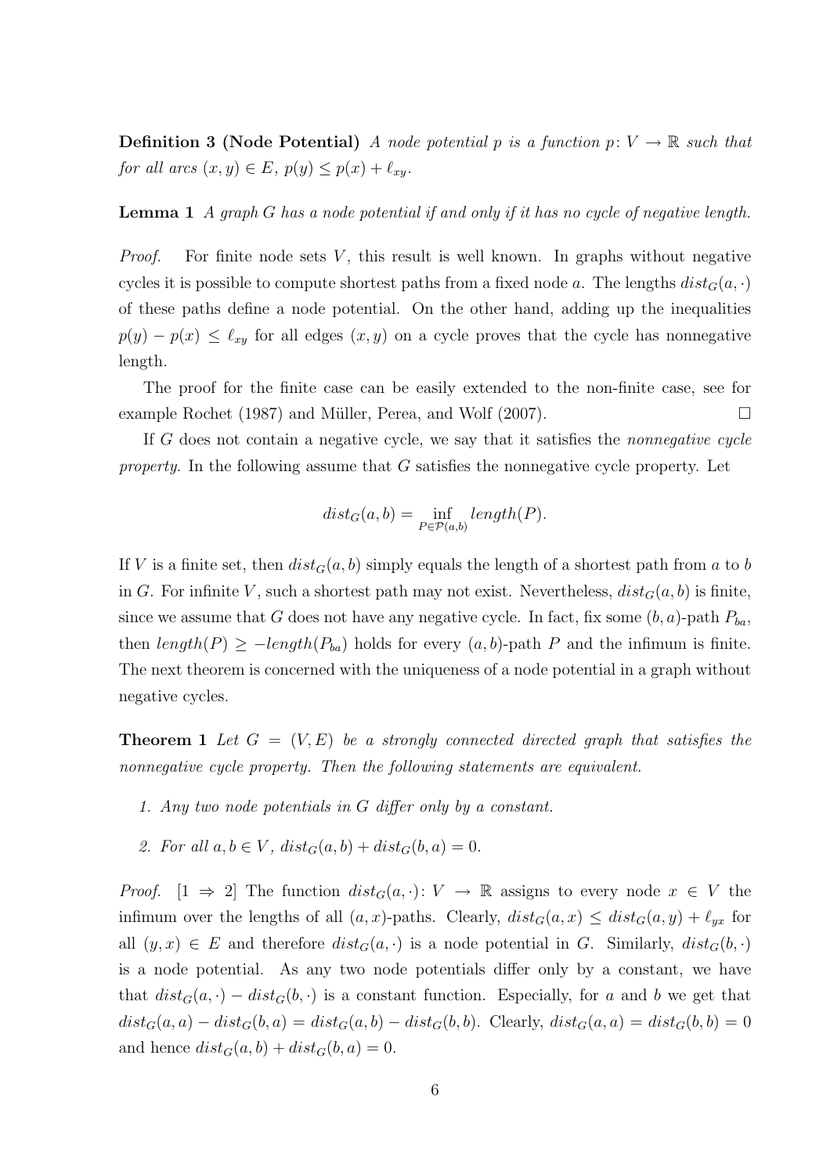**Definition 3 (Node Potential)** A node potential p is a function  $p: V \to \mathbb{R}$  such that for all arcs  $(x, y) \in E$ ,  $p(y) \leq p(x) + \ell_{xy}$ .

**Lemma 1** A graph G has a node potential if and only if it has no cycle of negative length.

*Proof.* For finite node sets  $V$ , this result is well known. In graphs without negative cycles it is possible to compute shortest paths from a fixed node a. The lengths  $dist_G(a, \cdot)$ of these paths define a node potential. On the other hand, adding up the inequalities  $p(y) - p(x) \leq \ell_{xy}$  for all edges  $(x, y)$  on a cycle proves that the cycle has nonnegative length.

The proof for the finite case can be easily extended to the non-finite case, see for example Rochet (1987) and Müller, Perea, and Wolf (2007).  $\Box$ 

If G does not contain a negative cycle, we say that it satisfies the nonnegative cycle *property*. In the following assume that  $G$  satisfies the nonnegative cycle property. Let

$$
dist_G(a, b) = \inf_{P \in \mathcal{P}(a, b)} length(P).
$$

If V is a finite set, then  $dist_G(a, b)$  simply equals the length of a shortest path from a to b in G. For infinite V, such a shortest path may not exist. Nevertheless,  $dist_G(a, b)$  is finite, since we assume that G does not have any negative cycle. In fact, fix some  $(b, a)$ -path  $P_{ba}$ , then  $length(P) \ge -length(P_{ba})$  holds for every  $(a, b)$ -path P and the infimum is finite. The next theorem is concerned with the uniqueness of a node potential in a graph without negative cycles.

**Theorem 1** Let  $G = (V, E)$  be a strongly connected directed graph that satisfies the nonnegative cycle property. Then the following statements are equivalent.

- 1. Any two node potentials in G differ only by a constant.
- 2. For all  $a, b \in V$ ,  $dist_G(a, b) + dist_G(b, a) = 0$ .

*Proof.*  $[1 \Rightarrow 2]$  The function  $dist_G(a, \cdot): V \to \mathbb{R}$  assigns to every node  $x \in V$  the infimum over the lengths of all  $(a, x)$ -paths. Clearly,  $dist_G(a, x) \leq dist_G(a, y) + \ell_{yx}$  for all  $(y, x) \in E$  and therefore  $dist_G(a, \cdot)$  is a node potential in G. Similarly,  $dist_G(b, \cdot)$ is a node potential. As any two node potentials differ only by a constant, we have that  $dist_G(a, \cdot) - dist_G(b, \cdot)$  is a constant function. Especially, for a and b we get that  $dist_G(a, a) - dist_G(b, a) = dist_G(a, b) - dist_G(b, b)$ . Clearly,  $dist_G(a, a) = dist_G(b, b) = 0$ and hence  $dist_G(a, b) + dist_G(b, a) = 0$ .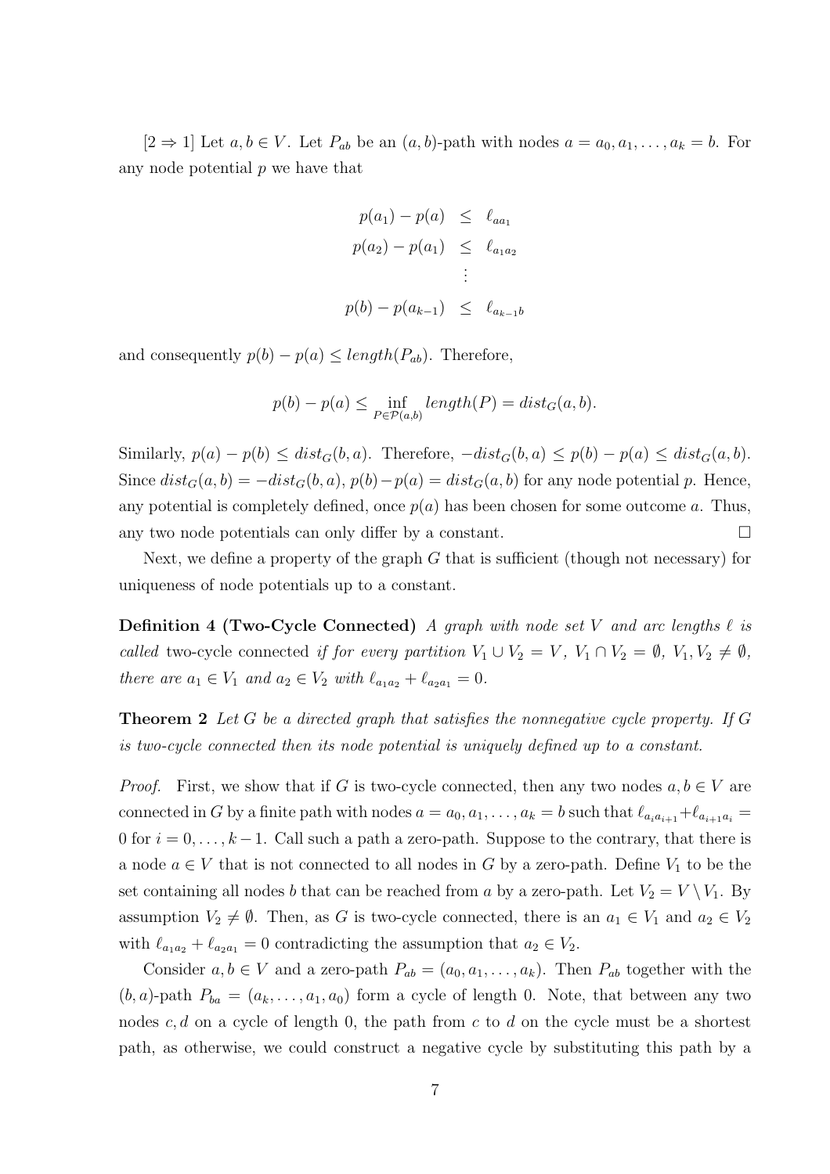$[2 \Rightarrow 1]$  Let  $a, b \in V$ . Let  $P_{ab}$  be an  $(a, b)$ -path with nodes  $a = a_0, a_1, \ldots, a_k = b$ . For any node potential  $p$  we have that

$$
p(a_1) - p(a) \le \ell_{aa_1}
$$
  
\n
$$
p(a_2) - p(a_1) \le \ell_{a_1 a_2}
$$
  
\n
$$
\vdots
$$
  
\n
$$
p(b) - p(a_{k-1}) \le \ell_{a_{k-1} b}
$$

and consequently  $p(b) - p(a) \leq length(P_{ab})$ . Therefore,

$$
p(b) - p(a) \le \inf_{P \in \mathcal{P}(a,b)} length(P) = dist_G(a,b).
$$

Similarly,  $p(a) - p(b) \leq dist_G(b, a)$ . Therefore,  $-dist_G(b, a) \leq p(b) - p(a) \leq dist_G(a, b)$ . Since  $dist_G(a, b) = -dist_G(b, a), p(b) - p(a) = dist_G(a, b)$  for any node potential p. Hence, any potential is completely defined, once  $p(a)$  has been chosen for some outcome a. Thus, any two node potentials can only differ by a constant.  $\Box$ 

Next, we define a property of the graph  $G$  that is sufficient (though not necessary) for uniqueness of node potentials up to a constant.

**Definition 4 (Two-Cycle Connected)** A graph with node set V and arc lengths  $\ell$  is called two-cycle connected if for every partition  $V_1 \cup V_2 = V$ ,  $V_1 \cap V_2 = \emptyset$ ,  $V_1, V_2 \neq \emptyset$ , there are  $a_1 \in V_1$  and  $a_2 \in V_2$  with  $\ell_{a_1 a_2} + \ell_{a_2 a_1} = 0$ .

**Theorem 2** Let G be a directed graph that satisfies the nonnegative cycle property. If G is two-cycle connected then its node potential is uniquely defined up to a constant.

*Proof.* First, we show that if G is two-cycle connected, then any two nodes  $a, b \in V$  are connected in G by a finite path with nodes  $a = a_0, a_1, \ldots, a_k = b$  such that  $\ell_{a_i a_{i+1}} + \ell_{a_{i+1} a_i} =$ 0 for  $i = 0, \ldots, k-1$ . Call such a path a zero-path. Suppose to the contrary, that there is a node  $a \in V$  that is not connected to all nodes in G by a zero-path. Define  $V_1$  to be the set containing all nodes b that can be reached from a by a zero-path. Let  $V_2 = V \setminus V_1$ . By assumption  $V_2 \neq \emptyset$ . Then, as G is two-cycle connected, there is an  $a_1 \in V_1$  and  $a_2 \in V_2$ with  $\ell_{a_1 a_2} + \ell_{a_2 a_1} = 0$  contradicting the assumption that  $a_2 \in V_2$ .

Consider  $a, b \in V$  and a zero-path  $P_{ab} = (a_0, a_1, \ldots, a_k)$ . Then  $P_{ab}$  together with the  $(b, a)$ -path  $P_{ba} = (a_k, \ldots, a_1, a_0)$  form a cycle of length 0. Note, that between any two nodes  $c, d$  on a cycle of length 0, the path from c to d on the cycle must be a shortest path, as otherwise, we could construct a negative cycle by substituting this path by a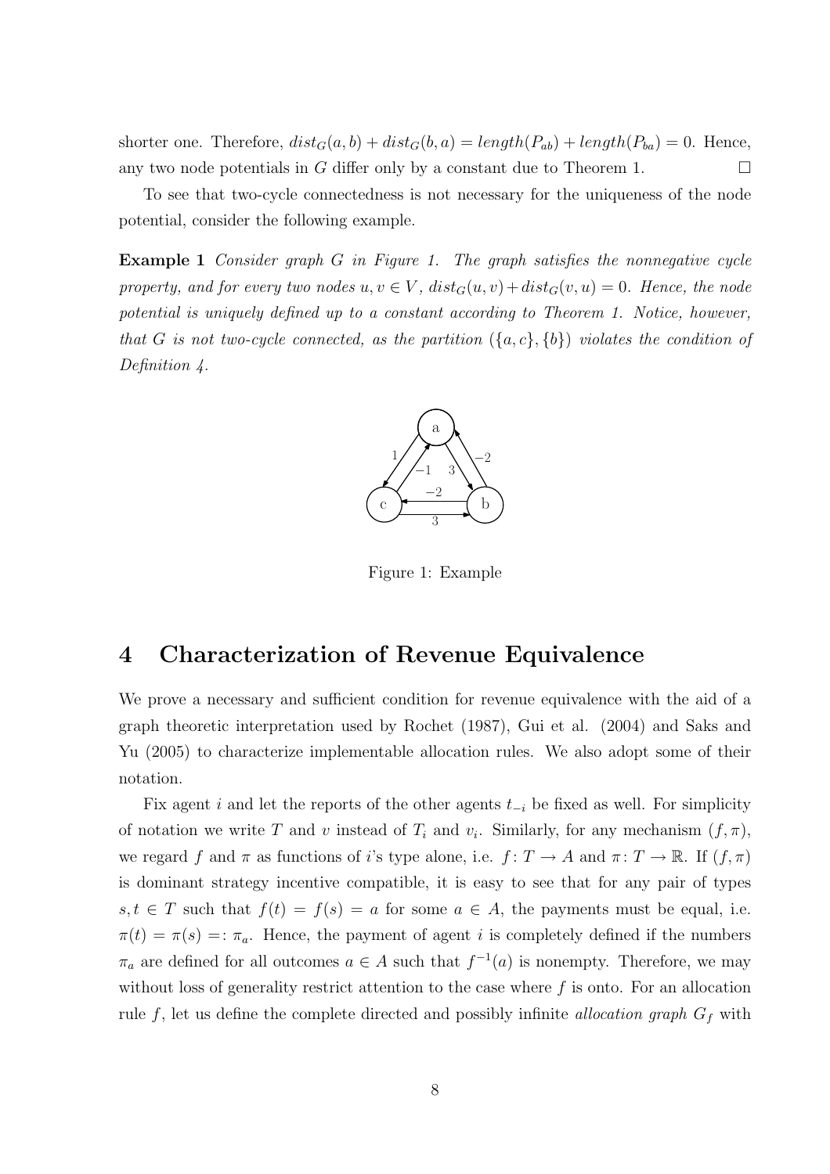shorter one. Therefore,  $dist_G(a, b) + dist_G(b, a) = length(P_{ab}) + length(P_{ba}) = 0$ . Hence, any two node potentials in G differ only by a constant due to Theorem 1.  $\Box$ 

To see that two-cycle connectedness is not necessary for the uniqueness of the node potential, consider the following example.

**Example 1** Consider graph G in Figure 1. The graph satisfies the nonnegative cycle property, and for every two nodes  $u, v \in V$ ,  $dist_G(u, v) + dist_G(v, u) = 0$ . Hence, the node potential is uniquely defined up to a constant according to Theorem 1. Notice, however, that G is not two-cycle connected, as the partition  $(\{a, c\}, \{b\})$  violates the condition of Definition 4.



Figure 1: Example

### 4 Characterization of Revenue Equivalence

We prove a necessary and sufficient condition for revenue equivalence with the aid of a graph theoretic interpretation used by Rochet (1987), Gui et al. (2004) and Saks and Yu (2005) to characterize implementable allocation rules. We also adopt some of their notation.

Fix agent i and let the reports of the other agents  $t_{-i}$  be fixed as well. For simplicity of notation we write T and v instead of  $T_i$  and  $v_i$ . Similarly, for any mechanism  $(f, \pi)$ , we regard f and  $\pi$  as functions of i's type alone, i.e.  $f: T \to A$  and  $\pi: T \to \mathbb{R}$ . If  $(f, \pi)$ is dominant strategy incentive compatible, it is easy to see that for any pair of types  $s, t \in T$  such that  $f(t) = f(s) = a$  for some  $a \in A$ , the payments must be equal, i.e.  $\pi(t) = \pi(s) =: \pi_a$ . Hence, the payment of agent i is completely defined if the numbers  $\pi_a$  are defined for all outcomes  $a \in A$  such that  $f^{-1}(a)$  is nonempty. Therefore, we may without loss of generality restrict attention to the case where  $f$  is onto. For an allocation rule f, let us define the complete directed and possibly infinite allocation graph  $G_f$  with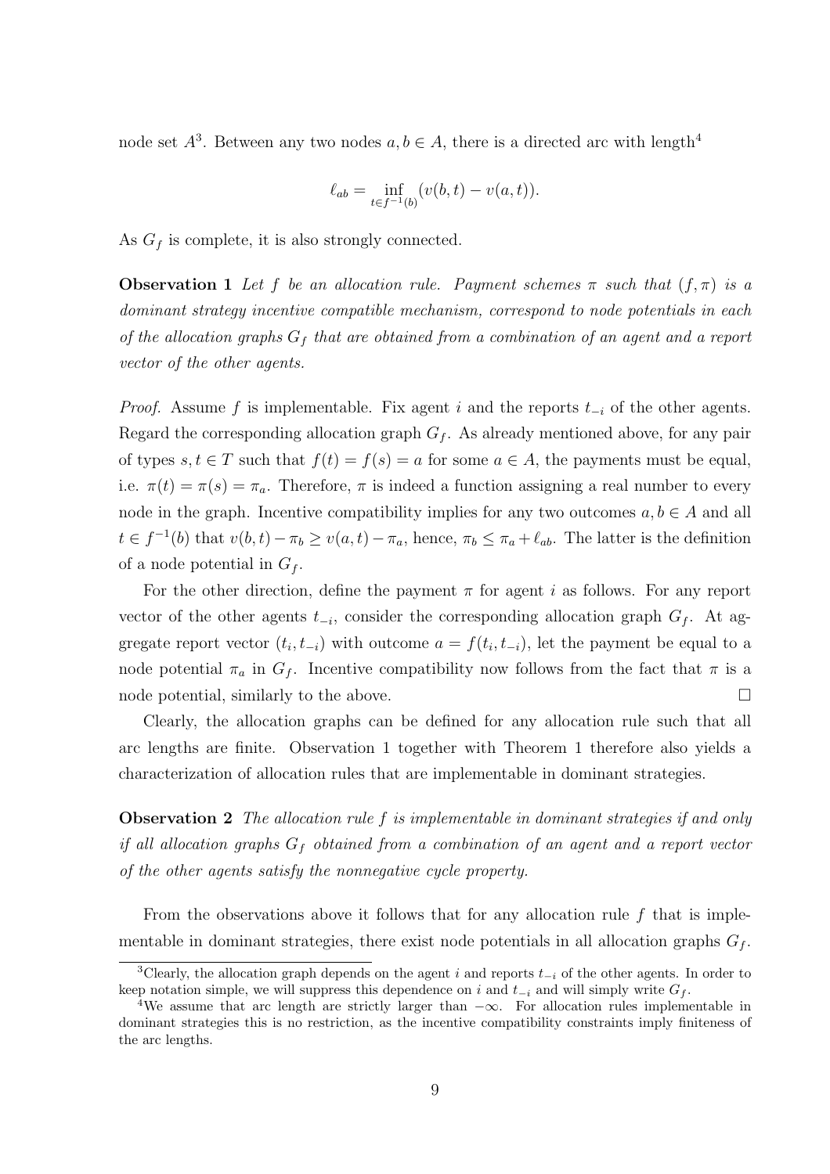node set  $A^3$ . Between any two nodes  $a, b \in A$ , there is a directed arc with length<sup>4</sup>

$$
\ell_{ab} = \inf_{t \in f^{-1}(b)} (v(b, t) - v(a, t)).
$$

As  $G_f$  is complete, it is also strongly connected.

**Observation 1** Let f be an allocation rule. Payment schemes  $\pi$  such that  $(f, \pi)$  is a dominant strategy incentive compatible mechanism, correspond to node potentials in each of the allocation graphs  $G_f$  that are obtained from a combination of an agent and a report vector of the other agents.

*Proof.* Assume f is implementable. Fix agent i and the reports  $t_{-i}$  of the other agents. Regard the corresponding allocation graph  $G_f$ . As already mentioned above, for any pair of types  $s, t \in T$  such that  $f(t) = f(s) = a$  for some  $a \in A$ , the payments must be equal, i.e.  $\pi(t) = \pi(s) = \pi_a$ . Therefore,  $\pi$  is indeed a function assigning a real number to every node in the graph. Incentive compatibility implies for any two outcomes  $a, b \in A$  and all  $t \in f^{-1}(b)$  that  $v(b, t) - \pi_b \ge v(a, t) - \pi_a$ , hence,  $\pi_b \le \pi_a + \ell_{ab}$ . The latter is the definition of a node potential in  $G_f$ .

For the other direction, define the payment  $\pi$  for agent i as follows. For any report vector of the other agents  $t_{-i}$ , consider the corresponding allocation graph  $G_f$ . At aggregate report vector  $(t_i, t_{-i})$  with outcome  $a = f(t_i, t_{-i})$ , let the payment be equal to a node potential  $\pi_a$  in  $G_f$ . Incentive compatibility now follows from the fact that  $\pi$  is a node potential, similarly to the above.  $\Box$ 

Clearly, the allocation graphs can be defined for any allocation rule such that all arc lengths are finite. Observation 1 together with Theorem 1 therefore also yields a characterization of allocation rules that are implementable in dominant strategies.

**Observation 2** The allocation rule f is implementable in dominant strategies if and only if all allocation graphs  $G_f$  obtained from a combination of an agent and a report vector of the other agents satisfy the nonnegative cycle property.

From the observations above it follows that for any allocation rule  $f$  that is implementable in dominant strategies, there exist node potentials in all allocation graphs  $G_f$ .

<sup>&</sup>lt;sup>3</sup>Clearly, the allocation graph depends on the agent i and reports  $t_{-i}$  of the other agents. In order to keep notation simple, we will suppress this dependence on i and  $t_{-i}$  and will simply write  $G_f$ .

<sup>&</sup>lt;sup>4</sup>We assume that arc length are strictly larger than  $-\infty$ . For allocation rules implementable in dominant strategies this is no restriction, as the incentive compatibility constraints imply finiteness of the arc lengths.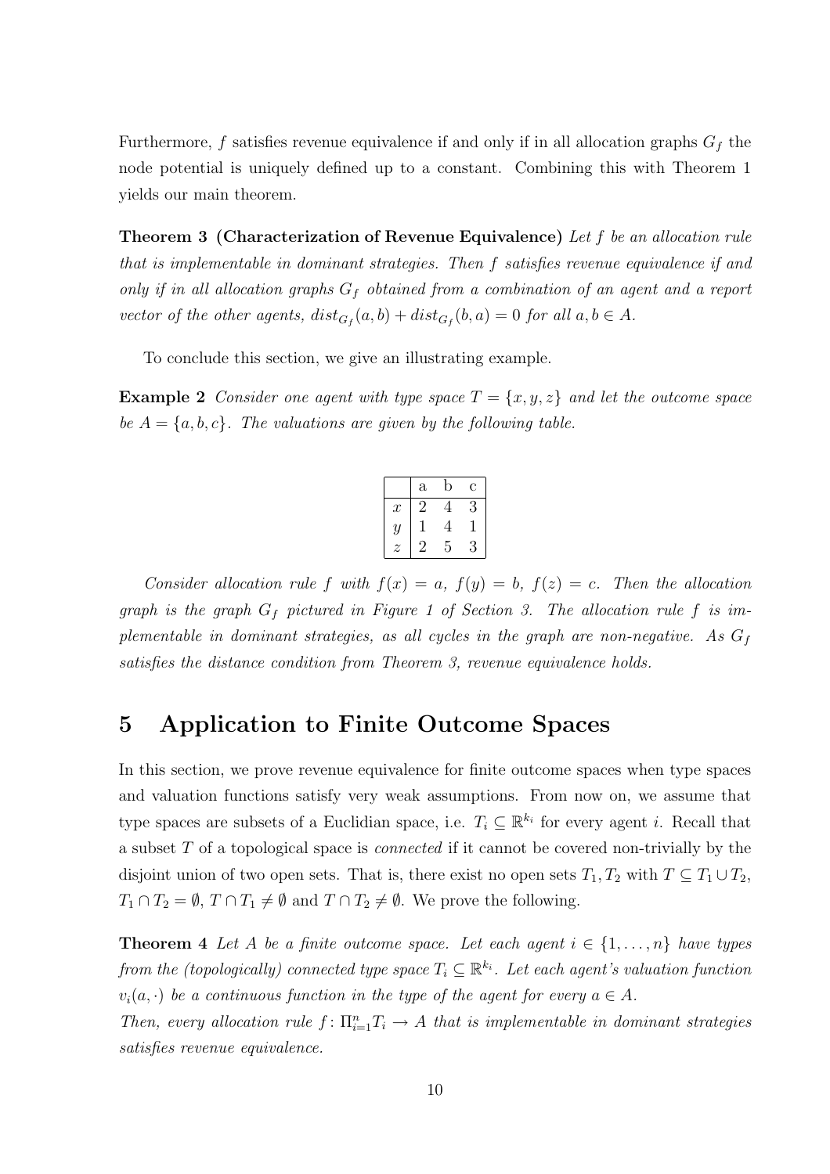Furthermore, f satisfies revenue equivalence if and only if in all allocation graphs  $G_f$  the node potential is uniquely defined up to a constant. Combining this with Theorem 1 yields our main theorem.

Theorem 3 (Characterization of Revenue Equivalence) Let f be an allocation rule that is implementable in dominant strategies. Then f satisfies revenue equivalence if and only if in all allocation graphs  $G_f$  obtained from a combination of an agent and a report vector of the other agents,  $dist_{G_f}(a, b) + dist_{G_f}(b, a) = 0$  for all  $a, b \in A$ .

To conclude this section, we give an illustrating example.

**Example 2** Consider one agent with type space  $T = \{x, y, z\}$  and let the outcome space be  $A = \{a, b, c\}$ . The valuations are given by the following table.

|                  | $\mathbf{a}$ | b | Ć |
|------------------|--------------|---|---|
| $\boldsymbol{x}$ | 2            | 4 | 3 |
| $\mathcal{Y}$    |              | 4 |   |
| z                |              | 5 | 3 |

Consider allocation rule f with  $f(x) = a$ ,  $f(y) = b$ ,  $f(z) = c$ . Then the allocation graph is the graph  $G_f$  pictured in Figure 1 of Section 3. The allocation rule f is implementable in dominant strategies, as all cycles in the graph are non-negative. As  $G_f$ satisfies the distance condition from Theorem 3, revenue equivalence holds.

# 5 Application to Finite Outcome Spaces

In this section, we prove revenue equivalence for finite outcome spaces when type spaces and valuation functions satisfy very weak assumptions. From now on, we assume that type spaces are subsets of a Euclidian space, i.e.  $T_i \subseteq \mathbb{R}^{k_i}$  for every agent i. Recall that a subset T of a topological space is connected if it cannot be covered non-trivially by the disjoint union of two open sets. That is, there exist no open sets  $T_1, T_2$  with  $T \subseteq T_1 \cup T_2$ ,  $T_1 \cap T_2 = \emptyset$ ,  $T \cap T_1 \neq \emptyset$  and  $T \cap T_2 \neq \emptyset$ . We prove the following.

**Theorem 4** Let A be a finite outcome space. Let each agent  $i \in \{1, \ldots, n\}$  have types from the (topologically) connected type space  $T_i\subseteq \mathbb{R}^{k_i}$ . Let each agent's valuation function  $v_i(a, \cdot)$  be a continuous function in the type of the agent for every  $a \in A$ .

Then, every allocation rule  $f: \prod_{i=1}^n T_i \to A$  that is implementable in dominant strategies satisfies revenue equivalence.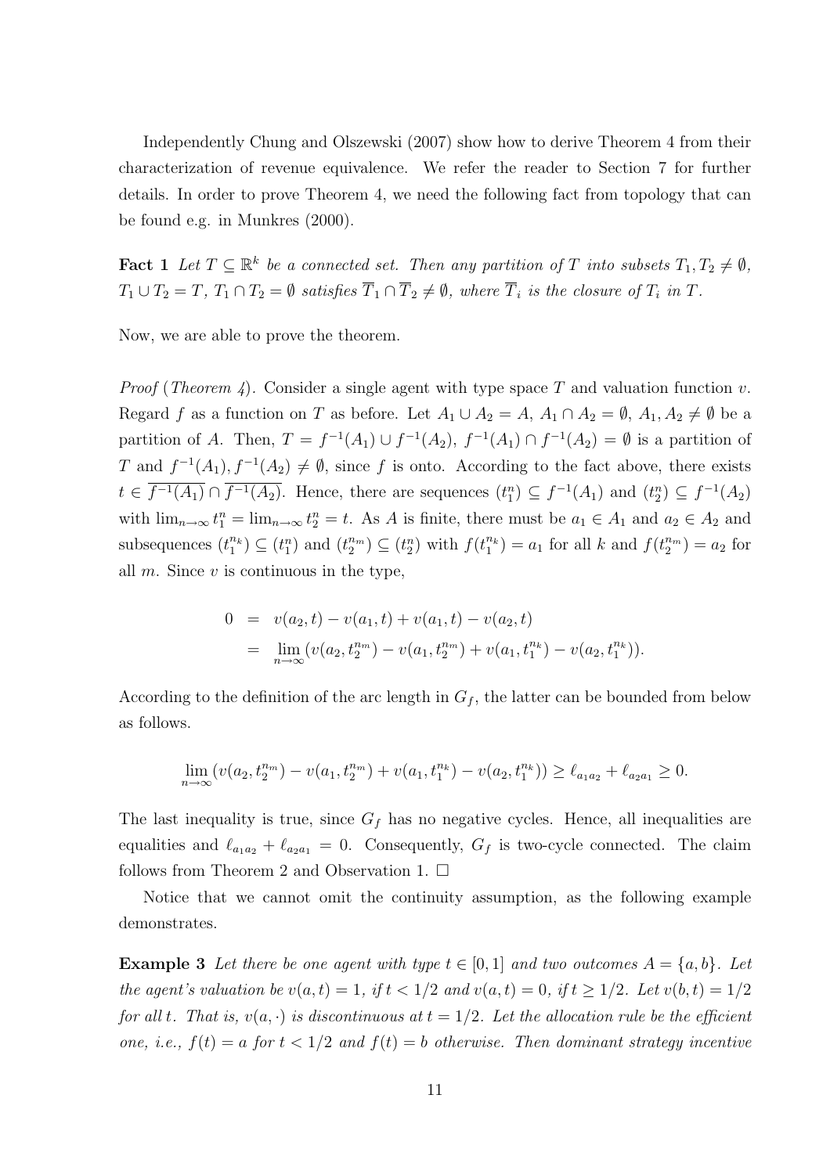Independently Chung and Olszewski (2007) show how to derive Theorem 4 from their characterization of revenue equivalence. We refer the reader to Section 7 for further details. In order to prove Theorem 4, we need the following fact from topology that can be found e.g. in Munkres (2000).

**Fact 1** Let  $T \subseteq \mathbb{R}^k$  be a connected set. Then any partition of T into subsets  $T_1, T_2 \neq \emptyset$ ,  $T_1 \cup T_2 = T$ ,  $T_1 \cap T_2 = \emptyset$  satisfies  $\overline{T}_1 \cap \overline{T}_2 \neq \emptyset$ , where  $\overline{T}_i$  is the closure of  $T_i$  in  $T$ .

Now, we are able to prove the theorem.

*Proof (Theorem 4).* Consider a single agent with type space T and valuation function  $v$ . Regard f as a function on T as before. Let  $A_1 \cup A_2 = A$ ,  $A_1 \cap A_2 = \emptyset$ ,  $A_1, A_2 \neq \emptyset$  be a partition of A. Then,  $T = f^{-1}(A_1) \cup f^{-1}(A_2)$ ,  $f^{-1}(A_1) \cap f^{-1}(A_2) = \emptyset$  is a partition of T and  $f^{-1}(A_1), f^{-1}(A_2) \neq \emptyset$ , since f is onto. According to the fact above, there exists  $t \in \overline{f^{-1}(A_1)} \cap \overline{f^{-1}(A_2)}$ . Hence, there are sequences  $(t_1^n) \subseteq f^{-1}(A_1)$  and  $(t_2^n) \subseteq f^{-1}(A_2)$ with  $\lim_{n\to\infty} t_1^n = \lim_{n\to\infty} t_2^n = t$ . As A is finite, there must be  $a_1 \in A_1$  and  $a_2 \in A_2$  and subsequences  $(t_1^{n_k}) \subseteq (t_1^n)$  and  $(t_2^{n_m}) \subseteq (t_2^n)$  with  $f(t_1^{n_k}) = a_1$  for all k and  $f(t_2^{n_m}) = a_2$  for all  $m$ . Since  $v$  is continuous in the type,

$$
0 = v(a_2, t) - v(a_1, t) + v(a_1, t) - v(a_2, t)
$$
  
= 
$$
\lim_{n \to \infty} (v(a_2, t_2^{n_m}) - v(a_1, t_2^{n_m}) + v(a_1, t_1^{n_k}) - v(a_2, t_1^{n_k})).
$$

According to the definition of the arc length in  $G_f$ , the latter can be bounded from below as follows.

$$
\lim_{n \to \infty} (v(a_2, t_2^{n_m}) - v(a_1, t_2^{n_m}) + v(a_1, t_1^{n_k}) - v(a_2, t_1^{n_k})) \ge \ell_{a_1 a_2} + \ell_{a_2 a_1} \ge 0.
$$

The last inequality is true, since  $G_f$  has no negative cycles. Hence, all inequalities are equalities and  $\ell_{a_1 a_2} + \ell_{a_2 a_1} = 0$ . Consequently,  $G_f$  is two-cycle connected. The claim follows from Theorem 2 and Observation 1.  $\Box$ 

Notice that we cannot omit the continuity assumption, as the following example demonstrates.

**Example 3** Let there be one agent with type  $t \in [0,1]$  and two outcomes  $A = \{a,b\}$ . Let the agent's valuation be  $v(a, t) = 1$ , if  $t < 1/2$  and  $v(a, t) = 0$ , if  $t \ge 1/2$ . Let  $v(b, t) = 1/2$ for all t. That is,  $v(a, \cdot)$  is discontinuous at  $t = 1/2$ . Let the allocation rule be the efficient one, i.e.,  $f(t) = a$  for  $t < 1/2$  and  $f(t) = b$  otherwise. Then dominant strategy incentive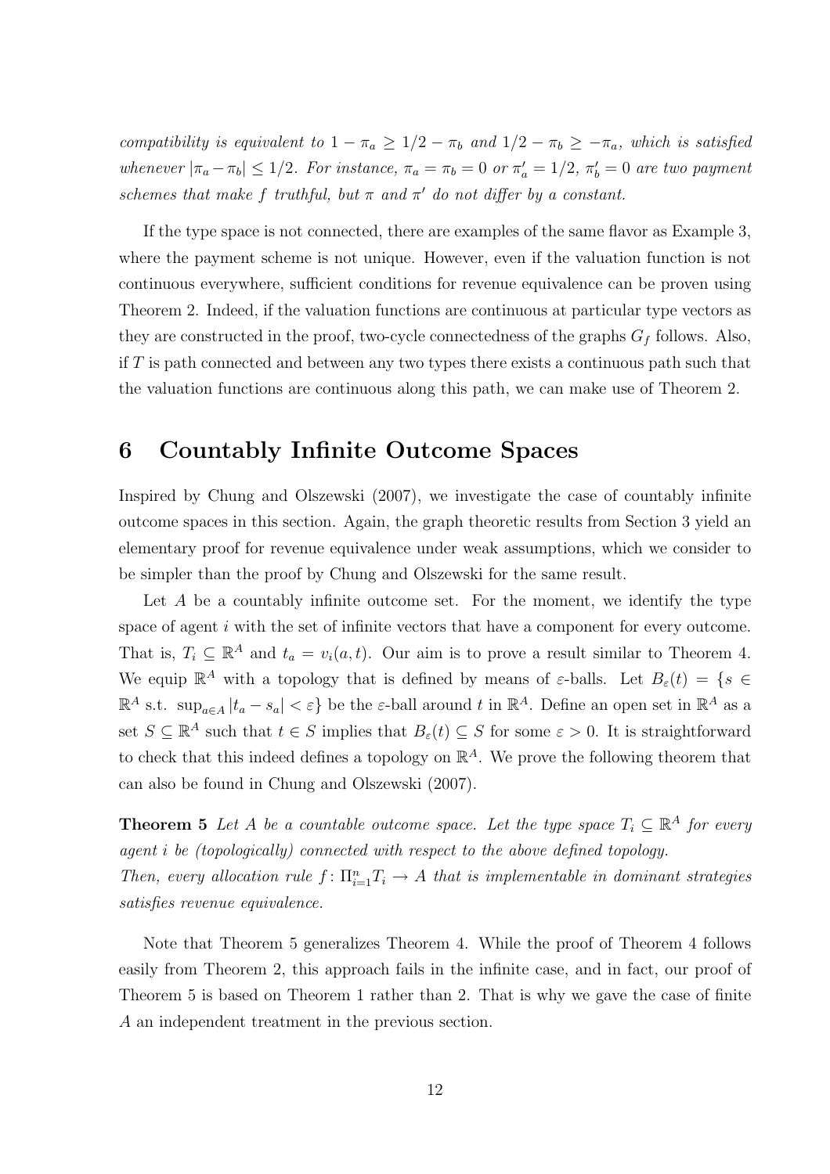compatibility is equivalent to  $1 - \pi_a \geq 1/2 - \pi_b$  and  $1/2 - \pi_b \geq -\pi_a$ , which is satisfied whenever  $|\pi_a - \pi_b| \leq 1/2$ . For instance,  $\pi_a = \pi_b = 0$  or  $\pi'_a = 1/2$ ,  $\pi'_b = 0$  are two payment schemes that make f truthful, but  $\pi$  and  $\pi'$  do not differ by a constant.

If the type space is not connected, there are examples of the same flavor as Example 3, where the payment scheme is not unique. However, even if the valuation function is not continuous everywhere, sufficient conditions for revenue equivalence can be proven using Theorem 2. Indeed, if the valuation functions are continuous at particular type vectors as they are constructed in the proof, two-cycle connectedness of the graphs  $G_f$  follows. Also, if  $T$  is path connected and between any two types there exists a continuous path such that the valuation functions are continuous along this path, we can make use of Theorem 2.

## 6 Countably Infinite Outcome Spaces

Inspired by Chung and Olszewski (2007), we investigate the case of countably infinite outcome spaces in this section. Again, the graph theoretic results from Section 3 yield an elementary proof for revenue equivalence under weak assumptions, which we consider to be simpler than the proof by Chung and Olszewski for the same result.

Let  $A$  be a countably infinite outcome set. For the moment, we identify the type space of agent i with the set of infinite vectors that have a component for every outcome. That is,  $T_i \subseteq \mathbb{R}^A$  and  $t_a = v_i(a, t)$ . Our aim is to prove a result similar to Theorem 4. We equip  $\mathbb{R}^A$  with a topology that is defined by means of  $\varepsilon$ -balls. Let  $B_{\varepsilon}(t) = \{s \in$  $\mathbb{R}^A$  s.t.  $\sup_{a \in A} |t_a - s_a| < \varepsilon$  be the  $\varepsilon$ -ball around t in  $\mathbb{R}^A$ . Define an open set in  $\mathbb{R}^A$  as a set  $S \subseteq \mathbb{R}^A$  such that  $t \in S$  implies that  $B_{\varepsilon}(t) \subseteq S$  for some  $\varepsilon > 0$ . It is straightforward to check that this indeed defines a topology on  $\mathbb{R}^{A}$ . We prove the following theorem that can also be found in Chung and Olszewski (2007).

**Theorem 5** Let A be a countable outcome space. Let the type space  $T_i \subseteq \mathbb{R}^A$  for every agent i be (topologically) connected with respect to the above defined topology. Then, every allocation rule  $f: \prod_{i=1}^n T_i \to A$  that is implementable in dominant strategies satisfies revenue equivalence.

Note that Theorem 5 generalizes Theorem 4. While the proof of Theorem 4 follows easily from Theorem 2, this approach fails in the infinite case, and in fact, our proof of Theorem 5 is based on Theorem 1 rather than 2. That is why we gave the case of finite A an independent treatment in the previous section.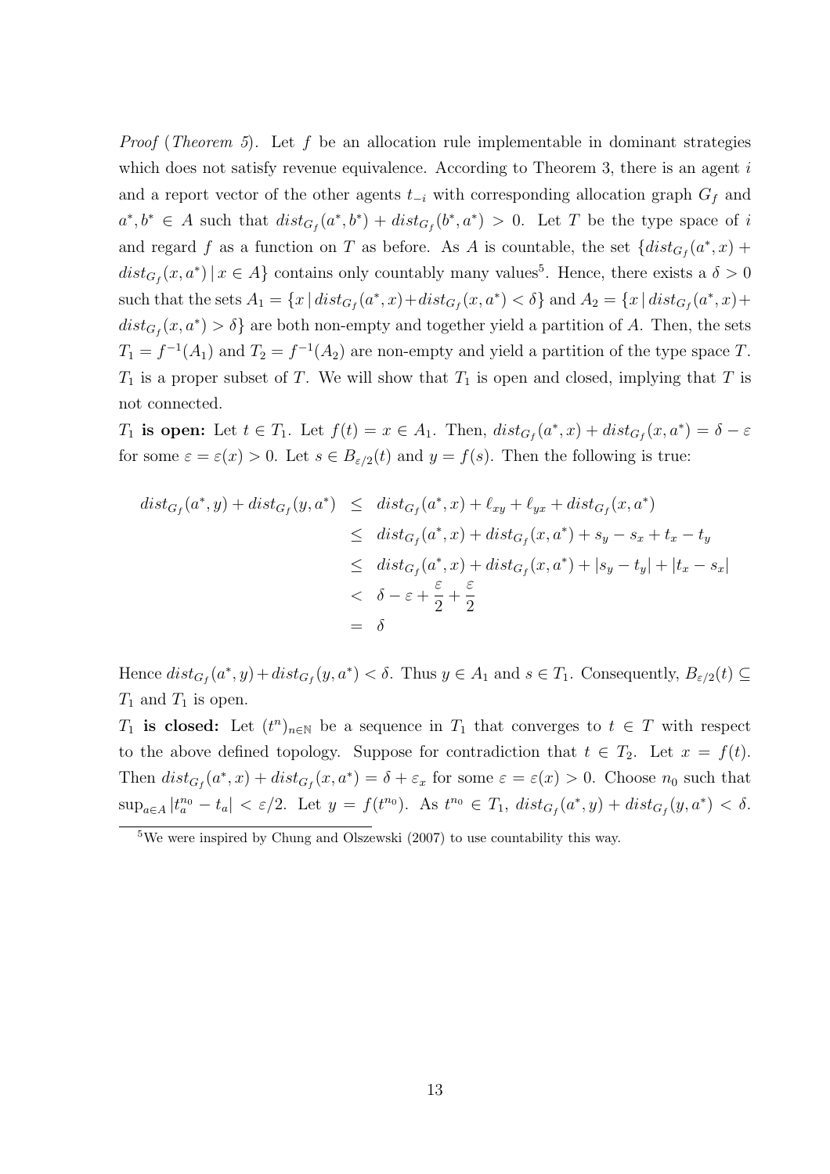*Proof (Theorem 5).* Let f be an allocation rule implementable in dominant strategies which does not satisfy revenue equivalence. According to Theorem 3, there is an agent  $i$ and a report vector of the other agents  $t_{-i}$  with corresponding allocation graph  $G_f$  and  $a^*, b^* \in A$  such that  $dist_{G_f}(a^*, b^*) + dist_{G_f}(b^*, a^*) > 0$ . Let T be the type space of i and regard f as a function on T as before. As A is countable, the set  $\{dist_{G_f}(a^*,x)$  +  $dist_{G_f}(x, a^*) | x \in A$  contains only countably many values<sup>5</sup>. Hence, there exists a  $\delta > 0$ such that the sets  $A_1 = \{x \mid dist_{G_f}(a^*, x) + dist_{G_f}(x, a^*) < \delta\}$  and  $A_2 = \{x \mid dist_{G_f}(a^*, x) +$  $dist_{G_f}(x, a^*) > \delta$  are both non-empty and together yield a partition of A. Then, the sets  $T_1 = f^{-1}(A_1)$  and  $T_2 = f^{-1}(A_2)$  are non-empty and yield a partition of the type space T.  $T_1$  is a proper subset of T. We will show that  $T_1$  is open and closed, implying that T is not connected.

 $T_1$  is open: Let  $t \in T_1$ . Let  $f(t) = x \in A_1$ . Then,  $dist_{G_f}(a^*, x) + dist_{G_f}(x, a^*) = \delta - \varepsilon$ for some  $\varepsilon = \varepsilon(x) > 0$ . Let  $s \in B_{\varepsilon/2}(t)$  and  $y = f(s)$ . Then the following is true:

$$
dist_{G_f}(a^*, y) + dist_{G_f}(y, a^*) \leq dist_{G_f}(a^*, x) + \ell_{xy} + \ell_{yx} + dist_{G_f}(x, a^*)
$$
  
\n
$$
\leq dist_{G_f}(a^*, x) + dist_{G_f}(x, a^*) + s_y - s_x + t_x - t_y
$$
  
\n
$$
\leq dist_{G_f}(a^*, x) + dist_{G_f}(x, a^*) + |s_y - t_y| + |t_x - s_x|
$$
  
\n
$$
< \delta - \varepsilon + \frac{\varepsilon}{2} + \frac{\varepsilon}{2}
$$
  
\n
$$
= \delta
$$

Hence  $dist_{G_f}(a^*, y) + dist_{G_f}(y, a^*) < \delta$ . Thus  $y \in A_1$  and  $s \in T_1$ . Consequently,  $B_{\varepsilon/2}(t) \subseteq$  $T_1$  and  $T_1$  is open.

 $T_1$  is closed: Let  $(t^n)_{n\in\mathbb{N}}$  be a sequence in  $T_1$  that converges to  $t \in T$  with respect to the above defined topology. Suppose for contradiction that  $t \in T_2$ . Let  $x = f(t)$ . Then  $dist_{G_f}(a^*, x) + dist_{G_f}(x, a^*) = \delta + \varepsilon_x$  for some  $\varepsilon = \varepsilon(x) > 0$ . Choose  $n_0$  such that  $\sup_{a\in A}|t_a^{n_0}-t_a| < \varepsilon/2$ . Let  $y = f(t^{n_0})$ . As  $t^{n_0} \in T_1$ ,  $dist_{G_f}(a^*,y) + dist_{G_f}(y,a^*) < \delta$ .

<sup>5</sup>We were inspired by Chung and Olszewski (2007) to use countability this way.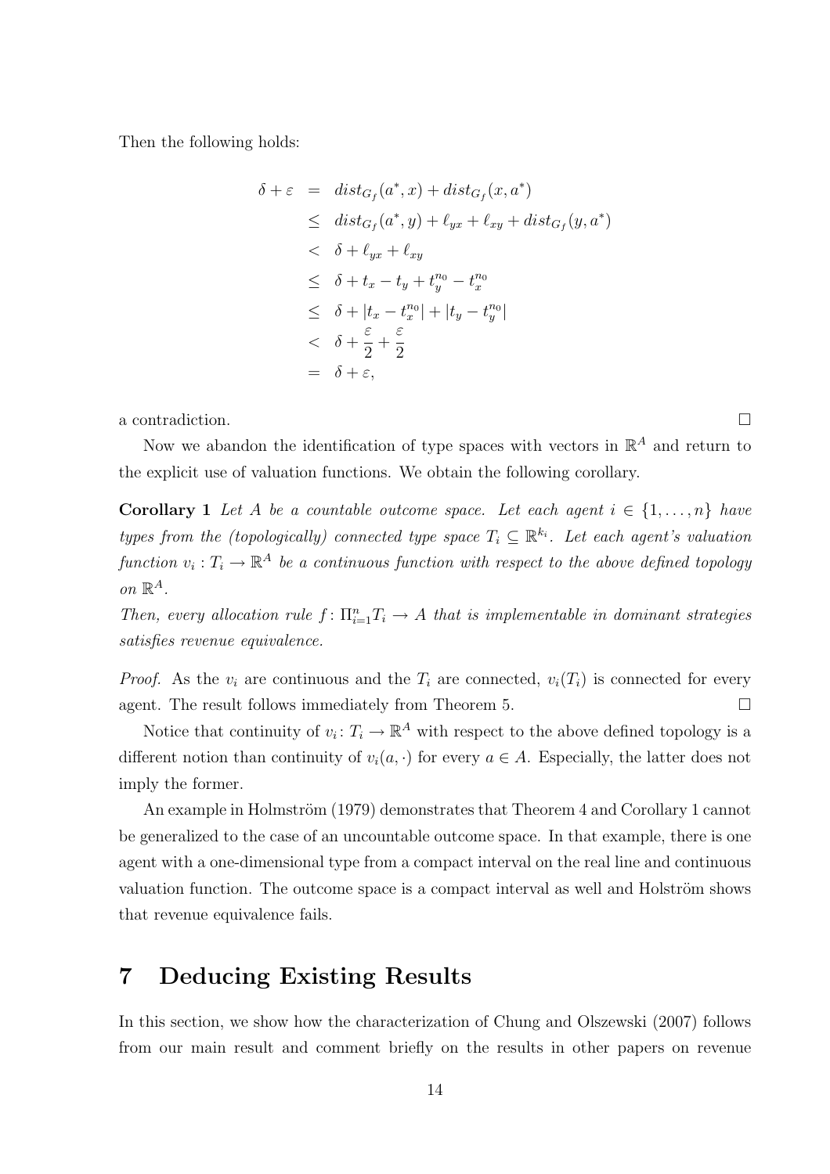Then the following holds:

$$
\delta + \varepsilon = dist_{G_f}(a^*, x) + dist_{G_f}(x, a^*)
$$
\n
$$
\leq dist_{G_f}(a^*, y) + \ell_{yx} + \ell_{xy} + dist_{G_f}(y, a^*)
$$
\n
$$
< \delta + \ell_{yx} + \ell_{xy}
$$
\n
$$
\leq \delta + t_x - t_y + t_y^{n_0} - t_x^{n_0}
$$
\n
$$
\leq \delta + |t_x - t_x^{n_0}| + |t_y - t_y^{n_0}|
$$
\n
$$
< \delta + \frac{\varepsilon}{2} + \frac{\varepsilon}{2}
$$
\n
$$
= \delta + \varepsilon,
$$

a contradiction.  $\Box$ 

Now we abandon the identification of type spaces with vectors in  $\mathbb{R}^A$  and return to the explicit use of valuation functions. We obtain the following corollary.

Corollary 1 Let A be a countable outcome space. Let each agent  $i \in \{1, \ldots, n\}$  have types from the (topologically) connected type space  $T_i \subseteq \mathbb{R}^{k_i}$ . Let each agent's valuation function  $v_i: T_i \to \mathbb{R}^A$  be a continuous function with respect to the above defined topology on  $\mathbb{R}^A$ .

Then, every allocation rule  $f: \prod_{i=1}^n T_i \to A$  that is implementable in dominant strategies satisfies revenue equivalence.

*Proof.* As the  $v_i$  are continuous and the  $T_i$  are connected,  $v_i(T_i)$  is connected for every agent. The result follows immediately from Theorem 5.  $\Box$ 

Notice that continuity of  $v_i: T_i \to \mathbb{R}^A$  with respect to the above defined topology is a different notion than continuity of  $v_i(a, \cdot)$  for every  $a \in A$ . Especially, the latter does not imply the former.

An example in Holmström (1979) demonstrates that Theorem 4 and Corollary 1 cannot be generalized to the case of an uncountable outcome space. In that example, there is one agent with a one-dimensional type from a compact interval on the real line and continuous valuation function. The outcome space is a compact interval as well and Holström shows that revenue equivalence fails.

# 7 Deducing Existing Results

In this section, we show how the characterization of Chung and Olszewski (2007) follows from our main result and comment briefly on the results in other papers on revenue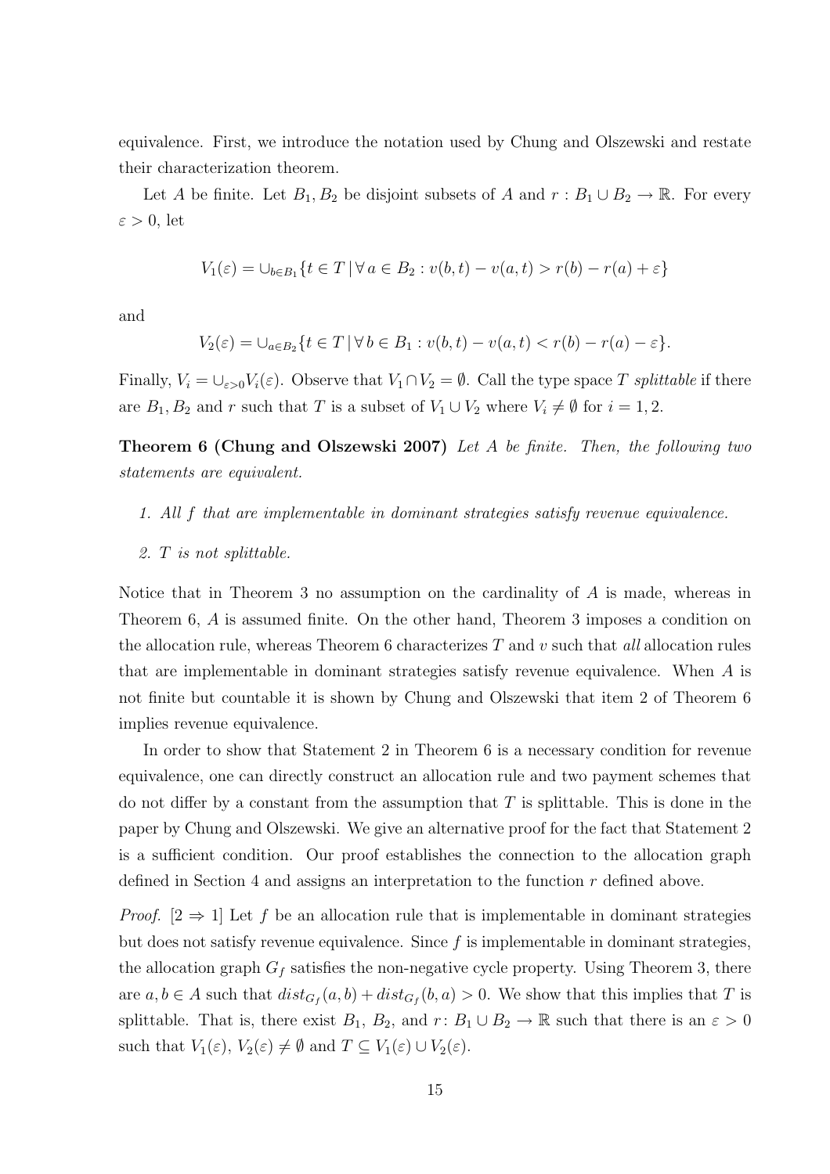equivalence. First, we introduce the notation used by Chung and Olszewski and restate their characterization theorem.

Let A be finite. Let  $B_1, B_2$  be disjoint subsets of A and  $r : B_1 \cup B_2 \to \mathbb{R}$ . For every  $\varepsilon > 0$ , let

$$
V_1(\varepsilon) = \bigcup_{b \in B_1} \{ t \in T \, | \, \forall \, a \in B_2 : v(b, t) - v(a, t) > r(b) - r(a) + \varepsilon \}
$$

and

$$
V_2(\varepsilon) = \bigcup_{a \in B_2} \{ t \in T \mid \forall \, b \in B_1 : v(b, t) - v(a, t) < r(b) - r(a) - \varepsilon \}.
$$

Finally,  $V_i = \bigcup_{\varepsilon > 0} V_i(\varepsilon)$ . Observe that  $V_1 \cap V_2 = \emptyset$ . Call the type space T splittable if there are  $B_1, B_2$  and r such that T is a subset of  $V_1 \cup V_2$  where  $V_i \neq \emptyset$  for  $i = 1, 2$ .

Theorem 6 (Chung and Olszewski 2007) Let A be finite. Then, the following two statements are equivalent.

- 1. All f that are implementable in dominant strategies satisfy revenue equivalence.
- 2. T is not splittable.

Notice that in Theorem 3 no assumption on the cardinality of A is made, whereas in Theorem 6, A is assumed finite. On the other hand, Theorem 3 imposes a condition on the allocation rule, whereas Theorem 6 characterizes  $T$  and  $v$  such that all allocation rules that are implementable in dominant strategies satisfy revenue equivalence. When A is not finite but countable it is shown by Chung and Olszewski that item 2 of Theorem 6 implies revenue equivalence.

In order to show that Statement 2 in Theorem 6 is a necessary condition for revenue equivalence, one can directly construct an allocation rule and two payment schemes that do not differ by a constant from the assumption that  $T$  is splittable. This is done in the paper by Chung and Olszewski. We give an alternative proof for the fact that Statement 2 is a sufficient condition. Our proof establishes the connection to the allocation graph defined in Section 4 and assigns an interpretation to the function r defined above.

*Proof.*  $[2 \Rightarrow 1]$  Let f be an allocation rule that is implementable in dominant strategies but does not satisfy revenue equivalence. Since  $f$  is implementable in dominant strategies, the allocation graph  $G_f$  satisfies the non-negative cycle property. Using Theorem 3, there are  $a, b \in A$  such that  $dist_{G_f}(a, b) + dist_{G_f}(b, a) > 0$ . We show that this implies that T is splittable. That is, there exist  $B_1$ ,  $B_2$ , and  $r: B_1 \cup B_2 \to \mathbb{R}$  such that there is an  $\varepsilon > 0$ such that  $V_1(\varepsilon), V_2(\varepsilon) \neq \emptyset$  and  $T \subseteq V_1(\varepsilon) \cup V_2(\varepsilon)$ .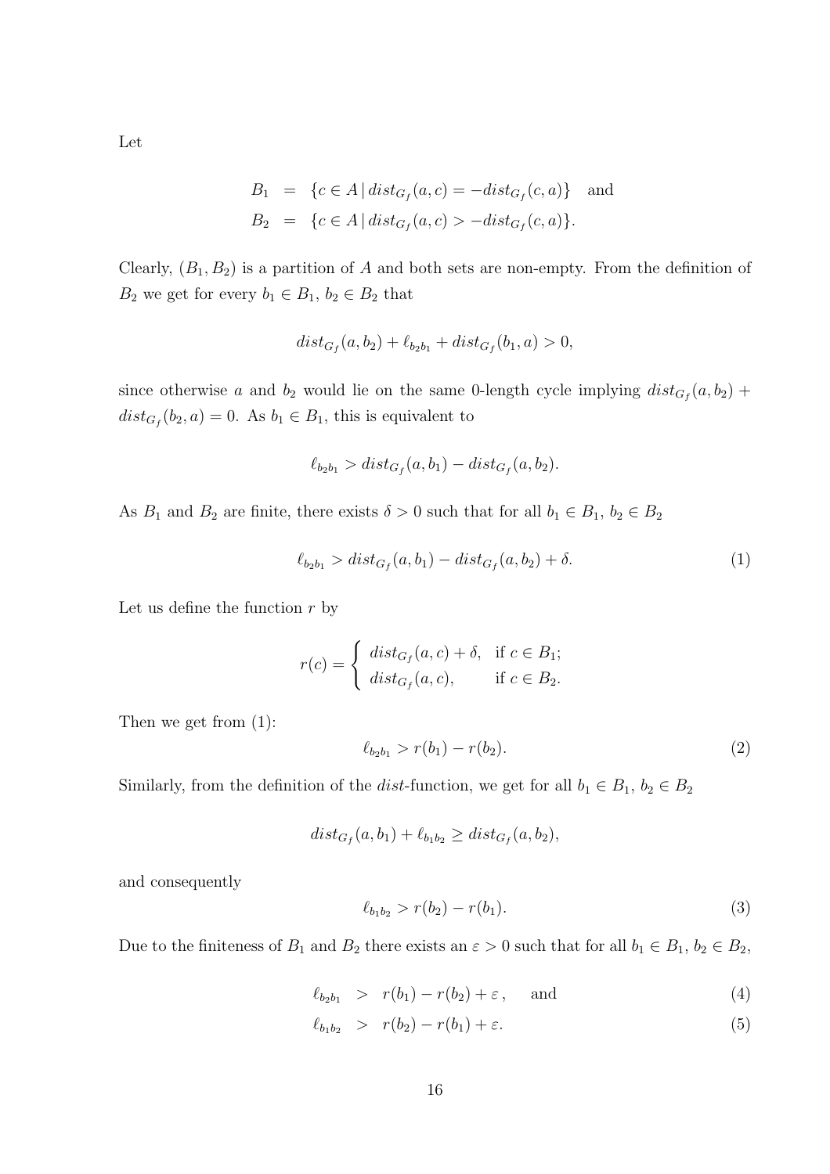Let

$$
B_1 = \{c \in A \mid dist_{G_f}(a, c) = -dist_{G_f}(c, a)\} \text{ and}
$$
  

$$
B_2 = \{c \in A \mid dist_{G_f}(a, c) > -dist_{G_f}(c, a)\}.
$$

Clearly,  $(B_1, B_2)$  is a partition of A and both sets are non-empty. From the definition of  $B_2$  we get for every  $b_1 \in B_1$ ,  $b_2 \in B_2$  that

$$
dist_{G_f}(a, b_2) + \ell_{b_2 b_1} + dist_{G_f}(b_1, a) > 0,
$$

since otherwise a and  $b_2$  would lie on the same 0-length cycle implying  $dist_{G_f}(a, b_2)$  +  $dist_{G_f}(b_2, a) = 0$ . As  $b_1 \in B_1$ , this is equivalent to

$$
\ell_{b_2 b_1} > dist_{G_f}(a, b_1) - dist_{G_f}(a, b_2).
$$

As  $B_1$  and  $B_2$  are finite, there exists  $\delta > 0$  such that for all  $b_1 \in B_1$ ,  $b_2 \in B_2$ 

$$
\ell_{b_2 b_1} > dist_{G_f}(a, b_1) - dist_{G_f}(a, b_2) + \delta.
$$
 (1)

Let us define the function  $r$  by

$$
r(c) = \begin{cases} dist_{G_f}(a, c) + \delta, & \text{if } c \in B_1; \\ dist_{G_f}(a, c), & \text{if } c \in B_2. \end{cases}
$$

Then we get from (1):

$$
\ell_{b_2 b_1} > r(b_1) - r(b_2). \tag{2}
$$

Similarly, from the definition of the dist-function, we get for all  $b_1 \in B_1$ ,  $b_2 \in B_2$ 

$$
dist_{G_f}(a, b_1) + \ell_{b_1 b_2} \geq dist_{G_f}(a, b_2),
$$

and consequently

$$
\ell_{b_1 b_2} > r(b_2) - r(b_1). \tag{3}
$$

Due to the finiteness of  $B_1$  and  $B_2$  there exists an  $\varepsilon > 0$  such that for all  $b_1 \in B_1$ ,  $b_2 \in B_2$ ,

$$
\ell_{b_2 b_1} > r(b_1) - r(b_2) + \varepsilon, \quad \text{and} \tag{4}
$$

$$
\ell_{b_1 b_2} > r(b_2) - r(b_1) + \varepsilon. \tag{5}
$$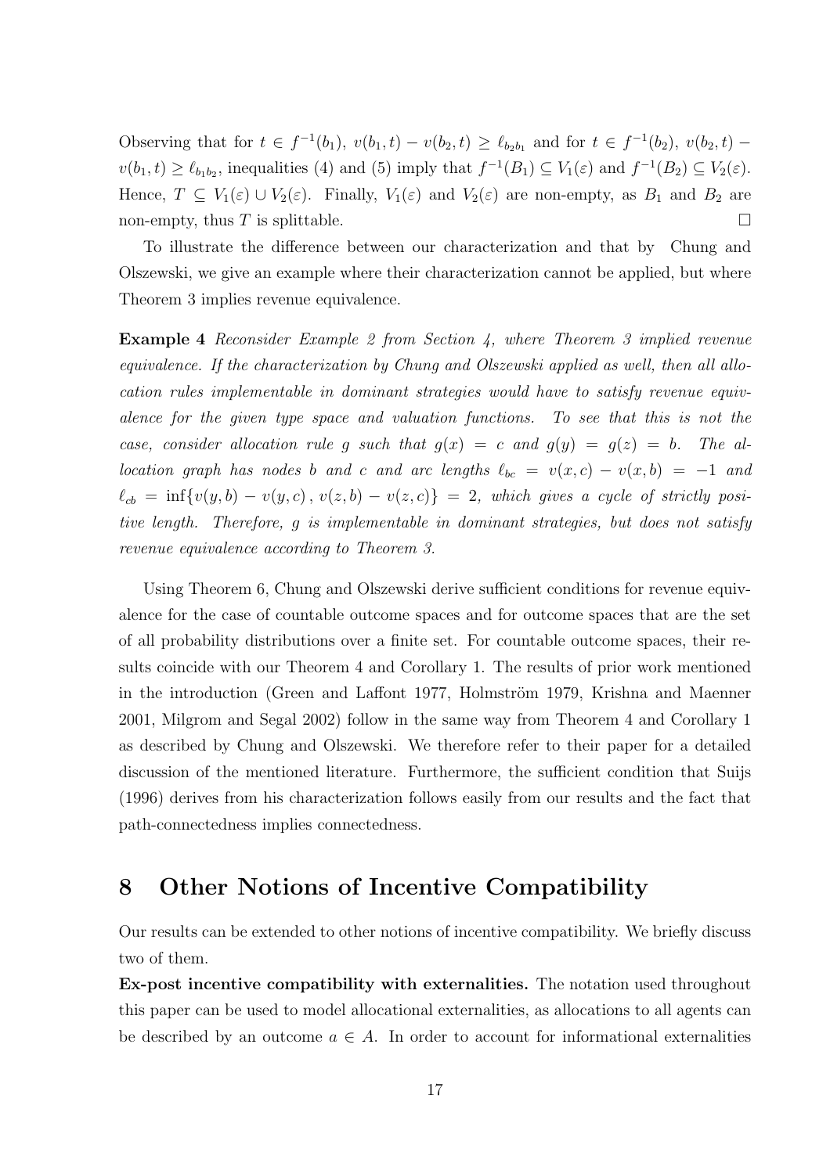Observing that for  $t \in f^{-1}(b_1)$ ,  $v(b_1, t) - v(b_2, t) \geq \ell_{b_2 b_1}$  and for  $t \in f^{-1}(b_2)$ ,  $v(b_2, t)$  $v(b_1, t) \ge \ell_{b_1 b_2}$ , inequalities (4) and (5) imply that  $f^{-1}(B_1) \subseteq V_1(\varepsilon)$  and  $f^{-1}(B_2) \subseteq V_2(\varepsilon)$ . Hence,  $T \subseteq V_1(\varepsilon) \cup V_2(\varepsilon)$ . Finally,  $V_1(\varepsilon)$  and  $V_2(\varepsilon)$  are non-empty, as  $B_1$  and  $B_2$  are non-empty, thus  $T$  is splittable.

To illustrate the difference between our characterization and that by Chung and Olszewski, we give an example where their characterization cannot be applied, but where Theorem 3 implies revenue equivalence.

**Example 4** Reconsider Example 2 from Section 4, where Theorem 3 implied revenue equivalence. If the characterization by Chung and Olszewski applied as well, then all allocation rules implementable in dominant strategies would have to satisfy revenue equivalence for the given type space and valuation functions. To see that this is not the case, consider allocation rule g such that  $g(x) = c$  and  $g(y) = g(z) = b$ . The allocation graph has nodes b and c and arc lengths  $\ell_{bc} = v(x, c) - v(x, b) = -1$  and  $\ell_{cb} = \inf\{v(y, b) - v(y, c), v(z, b) - v(z, c)\} = 2$ , which gives a cycle of strictly positive length. Therefore, g is implementable in dominant strategies, but does not satisfy revenue equivalence according to Theorem 3.

Using Theorem 6, Chung and Olszewski derive sufficient conditions for revenue equivalence for the case of countable outcome spaces and for outcome spaces that are the set of all probability distributions over a finite set. For countable outcome spaces, their results coincide with our Theorem 4 and Corollary 1. The results of prior work mentioned in the introduction (Green and Laffont 1977, Holmström 1979, Krishna and Maenner 2001, Milgrom and Segal 2002) follow in the same way from Theorem 4 and Corollary 1 as described by Chung and Olszewski. We therefore refer to their paper for a detailed discussion of the mentioned literature. Furthermore, the sufficient condition that Suijs (1996) derives from his characterization follows easily from our results and the fact that path-connectedness implies connectedness.

# 8 Other Notions of Incentive Compatibility

Our results can be extended to other notions of incentive compatibility. We briefly discuss two of them.

Ex-post incentive compatibility with externalities. The notation used throughout this paper can be used to model allocational externalities, as allocations to all agents can be described by an outcome  $a \in A$ . In order to account for informational externalities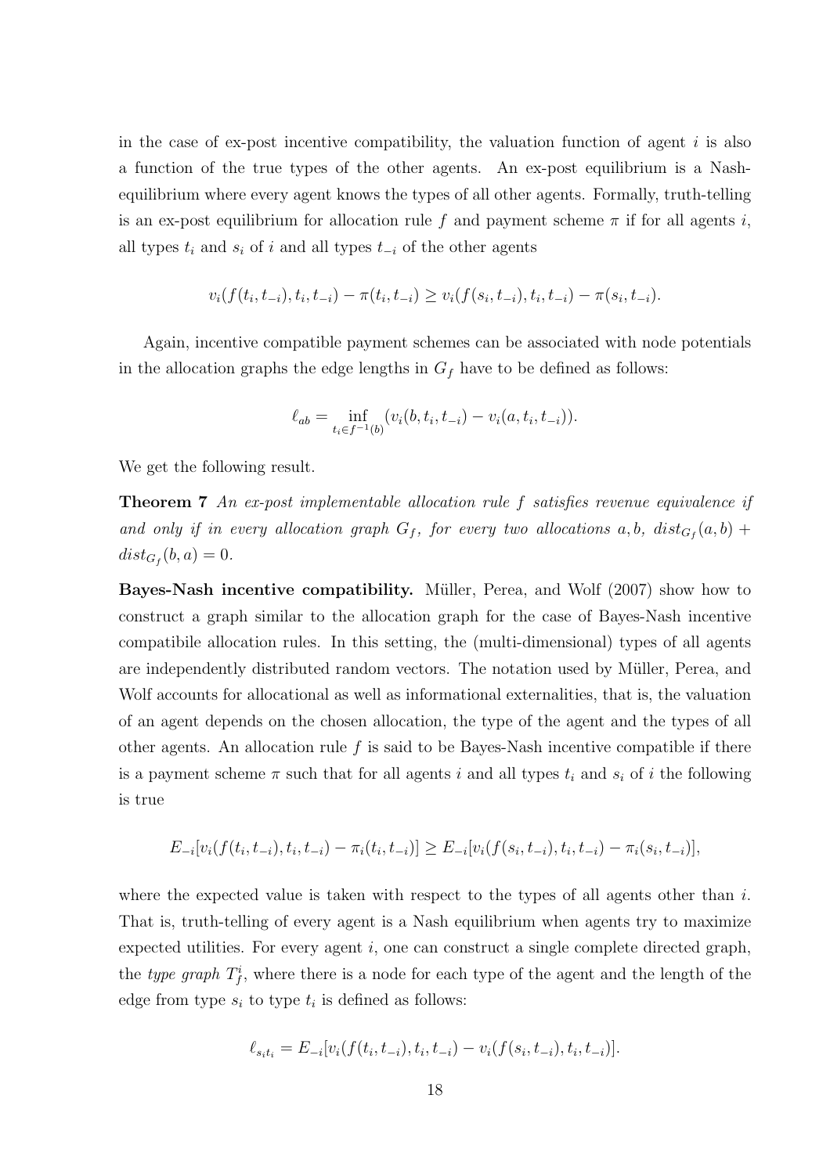in the case of ex-post incentive compatibility, the valuation function of agent  $i$  is also a function of the true types of the other agents. An ex-post equilibrium is a Nashequilibrium where every agent knows the types of all other agents. Formally, truth-telling is an ex-post equilibrium for allocation rule f and payment scheme  $\pi$  if for all agents i, all types  $t_i$  and  $s_i$  of i and all types  $t_{-i}$  of the other agents

$$
v_i(f(t_i, t_{-i}), t_i, t_{-i}) - \pi(t_i, t_{-i}) \ge v_i(f(s_i, t_{-i}), t_i, t_{-i}) - \pi(s_i, t_{-i}).
$$

Again, incentive compatible payment schemes can be associated with node potentials in the allocation graphs the edge lengths in  $G_f$  have to be defined as follows:

$$
\ell_{ab} = \inf_{t_i \in f^{-1}(b)} (v_i(b, t_i, t_{-i}) - v_i(a, t_i, t_{-i})).
$$

We get the following result.

Theorem 7 An ex-post implementable allocation rule f satisfies revenue equivalence if and only if in every allocation graph  $G_f$ , for every two allocations a,b,  $dist_{G_f}(a, b)$  +  $dist_{G_f}(b, a) = 0.$ 

**Bayes-Nash incentive compatibility.** Müller, Perea, and Wolf (2007) show how to construct a graph similar to the allocation graph for the case of Bayes-Nash incentive compatibile allocation rules. In this setting, the (multi-dimensional) types of all agents are independently distributed random vectors. The notation used by Müller, Perea, and Wolf accounts for allocational as well as informational externalities, that is, the valuation of an agent depends on the chosen allocation, the type of the agent and the types of all other agents. An allocation rule  $f$  is said to be Bayes-Nash incentive compatible if there is a payment scheme  $\pi$  such that for all agents i and all types  $t_i$  and  $s_i$  of i the following is true

$$
E_{-i}[v_i(f(t_i, t_{-i}), t_i, t_{-i}) - \pi_i(t_i, t_{-i})] \ge E_{-i}[v_i(f(s_i, t_{-i}), t_i, t_{-i}) - \pi_i(s_i, t_{-i})],
$$

where the expected value is taken with respect to the types of all agents other than  $i$ . That is, truth-telling of every agent is a Nash equilibrium when agents try to maximize expected utilities. For every agent  $i$ , one can construct a single complete directed graph, the type graph  $T_f^i$ , where there is a node for each type of the agent and the length of the edge from type  $s_i$  to type  $t_i$  is defined as follows:

$$
\ell_{s_i t_i} = E_{-i}[v_i(f(t_i, t_{-i}), t_i, t_{-i}) - v_i(f(s_i, t_{-i}), t_i, t_{-i})].
$$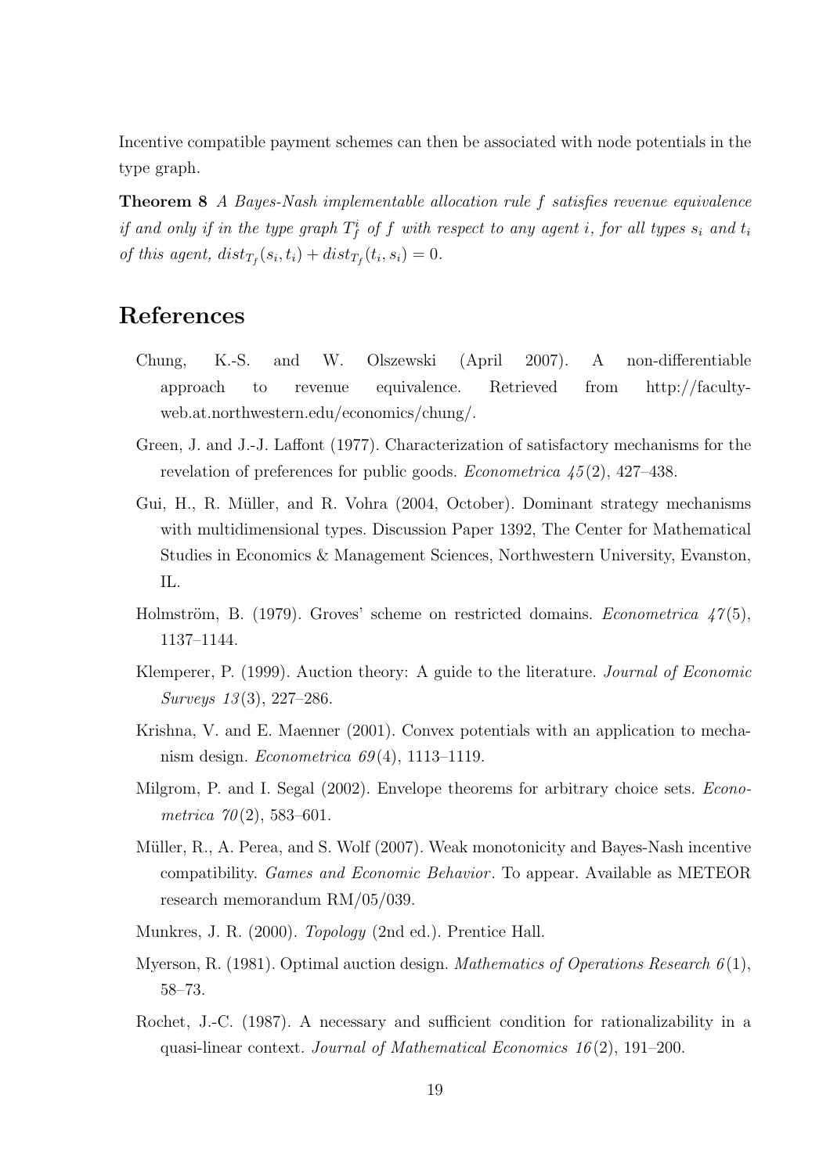Incentive compatible payment schemes can then be associated with node potentials in the type graph.

Theorem 8 A Bayes-Nash implementable allocation rule f satisfies revenue equivalence if and only if in the type graph  $T_f^i$  of f with respect to any agent i, for all types  $s_i$  and  $t_i$ of this agent,  $dist_{T_f}(s_i, t_i) + dist_{T_f}(t_i, s_i) = 0.$ 

# References

- Chung, K.-S. and W. Olszewski (April 2007). A non-differentiable approach to revenue equivalence. Retrieved from http://facultyweb.at.northwestern.edu/economics/chung/.
- Green, J. and J.-J. Laffont (1977). Characterization of satisfactory mechanisms for the revelation of preferences for public goods. *Econometrica*  $\mu$ <sub>5</sub>(2), 427–438.
- Gui, H., R. M¨uller, and R. Vohra (2004, October). Dominant strategy mechanisms with multidimensional types. Discussion Paper 1392, The Center for Mathematical Studies in Economics & Management Sciences, Northwestern University, Evanston, IL.
- Holmström, B. (1979). Groves' scheme on restricted domains. *Econometrica*  $\frac{47(5)}{12}$ , 1137–1144.
- Klemperer, P. (1999). Auction theory: A guide to the literature. Journal of Economic Surveys 13(3), 227-286.
- Krishna, V. and E. Maenner (2001). Convex potentials with an application to mechanism design. Econometrica  $69(4)$ , 1113–1119.
- Milgrom, P. and I. Segal (2002). Envelope theorems for arbitrary choice sets. *Econo*metrica  $70(2)$ , 583-601.
- Müller, R., A. Perea, and S. Wolf (2007). Weak monotonicity and Bayes-Nash incentive compatibility. Games and Economic Behavior . To appear. Available as METEOR research memorandum RM/05/039.
- Munkres, J. R. (2000). Topology (2nd ed.). Prentice Hall.
- Myerson, R. (1981). Optimal auction design. *Mathematics of Operations Research*  $6(1)$ , 58–73.
- Rochet, J.-C. (1987). A necessary and sufficient condition for rationalizability in a quasi-linear context. Journal of Mathematical Economics  $16(2)$ , 191–200.